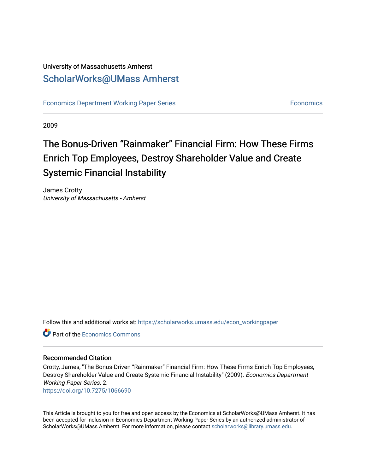### University of Massachusetts Amherst [ScholarWorks@UMass Amherst](https://scholarworks.umass.edu/)

[Economics Department Working Paper Series](https://scholarworks.umass.edu/econ_workingpaper) **Economics** [Economics](https://scholarworks.umass.edu/economics) Economics

2009

## The Bonus-Driven "Rainmaker" Financial Firm: How These Firms Enrich Top Employees, Destroy Shareholder Value and Create Systemic Financial Instability

James Crotty University of Massachusetts - Amherst

Follow this and additional works at: [https://scholarworks.umass.edu/econ\\_workingpaper](https://scholarworks.umass.edu/econ_workingpaper?utm_source=scholarworks.umass.edu%2Fecon_workingpaper%2F2&utm_medium=PDF&utm_campaign=PDFCoverPages) 

**C** Part of the [Economics Commons](http://network.bepress.com/hgg/discipline/340?utm_source=scholarworks.umass.edu%2Fecon_workingpaper%2F2&utm_medium=PDF&utm_campaign=PDFCoverPages)

#### Recommended Citation

Crotty, James, "The Bonus-Driven "Rainmaker" Financial Firm: How These Firms Enrich Top Employees, Destroy Shareholder Value and Create Systemic Financial Instability" (2009). Economics Department Working Paper Series. 2.

<https://doi.org/10.7275/1066690>

This Article is brought to you for free and open access by the Economics at ScholarWorks@UMass Amherst. It has been accepted for inclusion in Economics Department Working Paper Series by an authorized administrator of ScholarWorks@UMass Amherst. For more information, please contact [scholarworks@library.umass.edu.](mailto:scholarworks@library.umass.edu)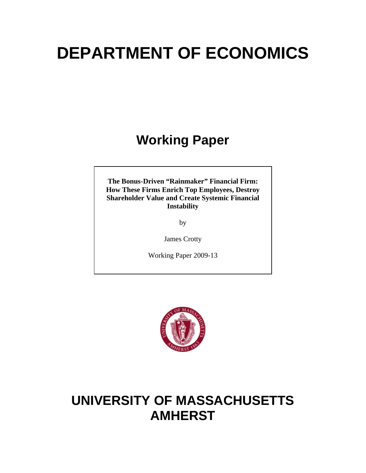# **DEPARTMENT OF ECONOMICS**

# **Working Paper**

**The Bonus-Driven "Rainmaker" Financial Firm: How These Firms Enrich Top Employees, Destroy Shareholder Value and Create Systemic Financial Instability** 

by

James Crotty

Working Paper 2009-13



# **UNIVERSITY OF MASSACHUSETTS AMHERST**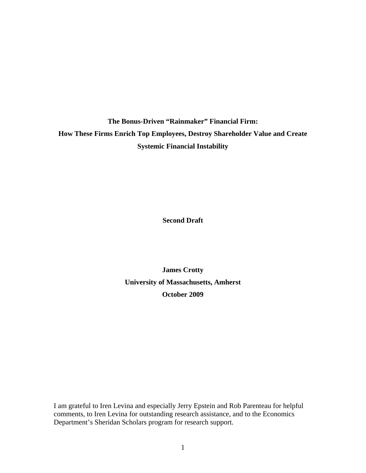**The Bonus-Driven "Rainmaker" Financial Firm: How These Firms Enrich Top Employees, Destroy Shareholder Value and Create Systemic Financial Instability** 

**Second Draft** 

**James Crotty University of Massachusetts, Amherst October 2009** 

I am grateful to Iren Levina and especially Jerry Epstein and Rob Parenteau for helpful comments, to Iren Levina for outstanding research assistance, and to the Economics Department's Sheridan Scholars program for research support.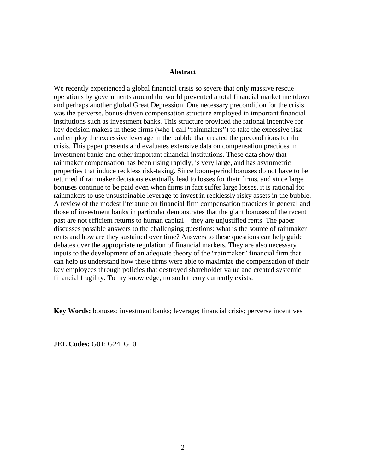#### **Abstract**

We recently experienced a global financial crisis so severe that only massive rescue operations by governments around the world prevented a total financial market meltdown and perhaps another global Great Depression. One necessary precondition for the crisis was the perverse, bonus-driven compensation structure employed in important financial institutions such as investment banks. This structure provided the rational incentive for key decision makers in these firms (who I call "rainmakers") to take the excessive risk and employ the excessive leverage in the bubble that created the preconditions for the crisis. This paper presents and evaluates extensive data on compensation practices in investment banks and other important financial institutions. These data show that rainmaker compensation has been rising rapidly, is very large, and has asymmetric properties that induce reckless risk-taking. Since boom-period bonuses do not have to be returned if rainmaker decisions eventually lead to losses for their firms, and since large bonuses continue to be paid even when firms in fact suffer large losses, it is rational for rainmakers to use unsustainable leverage to invest in recklessly risky assets in the bubble. A review of the modest literature on financial firm compensation practices in general and those of investment banks in particular demonstrates that the giant bonuses of the recent past are not efficient returns to human capital – they are unjustified rents. The paper discusses possible answers to the challenging questions: what is the source of rainmaker rents and how are they sustained over time? Answers to these questions can help guide debates over the appropriate regulation of financial markets. They are also necessary inputs to the development of an adequate theory of the "rainmaker" financial firm that can help us understand how these firms were able to maximize the compensation of their key employees through policies that destroyed shareholder value and created systemic financial fragility. To my knowledge, no such theory currently exists.

**Key Words:** bonuses; investment banks; leverage; financial crisis; perverse incentives

**JEL Codes:** G01; G24; G10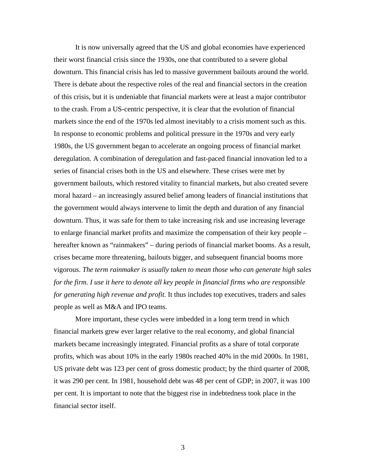It is now universally agreed that the US and global economies have experienced their worst financial crisis since the 1930s, one that contributed to a severe global downturn. This financial crisis has led to massive government bailouts around the world. There is debate about the respective roles of the real and financial sectors in the creation of this crisis, but it is undeniable that financial markets were at least a major contributor to the crash. From a US-centric perspective, it is clear that the evolution of financial markets since the end of the 1970s led almost inevitably to a crisis moment such as this. In response to economic problems and political pressure in the 1970s and very early 1980s, the US government began to accelerate an ongoing process of financial market deregulation. A combination of deregulation and fast-paced financial innovation led to a series of financial crises both in the US and elsewhere. These crises were met by government bailouts, which restored vitality to financial markets, but also created severe moral hazard – an increasingly assured belief among leaders of financial institutions that the government would always intervene to limit the depth and duration of any financial downturn. Thus, it was safe for them to take increasing risk and use increasing leverage to enlarge financial market profits and maximize the compensation of their key people – hereafter known as "rainmakers" – during periods of financial market booms. As a result, crises became more threatening, bailouts bigger, and subsequent financial booms more vigorous. *The term rainmaker is usually taken to mean those who can generate high sales for the firm. I use it here to denote all key people in financial firms who are responsible for generating high revenue and profit.* It thus includes top executives, traders and sales people as well as M&A and IPO teams.

More important, these cycles were imbedded in a long term trend in which financial markets grew ever larger relative to the real economy, and global financial markets became increasingly integrated. Financial profits as a share of total corporate profits, which was about 10% in the early 1980s reached 40% in the mid 2000s. In 1981, US private debt was 123 per cent of gross domestic product; by the third quarter of 2008, it was 290 per cent. In 1981, household debt was 48 per cent of GDP; in 2007, it was 100 per cent. It is important to note that the biggest rise in indebtedness took place in the financial sector itself.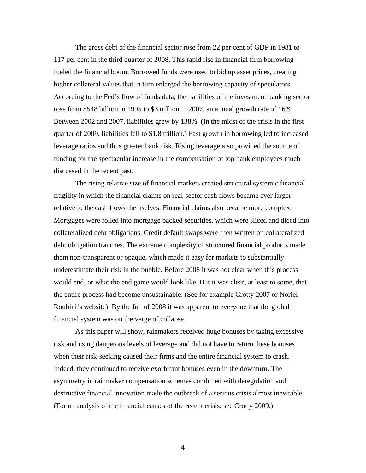The gross debt of the financial sector rose from 22 per cent of GDP in 1981 to 117 per cent in the third quarter of 2008. This rapid rise in financial firm borrowing fueled the financial boom. Borrowed funds were used to bid up asset prices, creating higher collateral values that in turn enlarged the borrowing capacity of speculators. According to the Fed's flow of funds data, the liabilities of the investment banking sector rose from \$548 billion in 1995 to \$3 trillion in 2007, an annual growth rate of 16%. Between 2002 and 2007, liabilities grew by 138%. (In the midst of the crisis in the first quarter of 2009, liabilities fell to \$1.8 trillion.) Fast growth in borrowing led to increased leverage ratios and thus greater bank risk. Rising leverage also provided the source of funding for the spectacular increase in the compensation of top bank employees much discussed in the recent past.

The rising relative size of financial markets created structural systemic financial fragility in which the financial claims on real-sector cash flows became ever larger relative to the cash flows themselves. Financial claims also became more complex. Mortgages were rolled into mortgage backed securities, which were sliced and diced into collateralized debt obligations. Credit default swaps were then written on collateralized debt obligation tranches. The extreme complexity of structured financial products made them non-transparent or opaque, which made it easy for markets to substantially underestimate their risk in the bubble. Before 2008 it was not clear when this process would end, or what the end game would look like. But it was clear, at least to some, that the entire process had become unsustainable. (See for example Crotty 2007 or Noriel Roubini's website). By the fall of 2008 it was apparent to everyone that the global financial system was on the verge of collapse.

As this paper will show, rainmakers received huge bonuses by taking excessive risk and using dangerous levels of leverage and did not have to return these bonuses when their risk-seeking caused their firms and the entire financial system to crash. Indeed, they continued to receive exorbitant bonuses even in the downturn. The asymmetry in rainmaker compensation schemes combined with deregulation and destructive financial innovation made the outbreak of a serious crisis almost inevitable. (For an analysis of the financial causes of the recent crisis, see Crotty 2009.)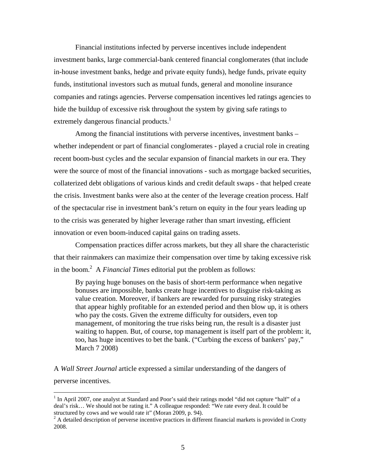Financial institutions infected by perverse incentives include independent investment banks, large commercial-bank centered financial conglomerates (that include in-house investment banks, hedge and private equity funds), hedge funds, private equity funds, institutional investors such as mutual funds, general and monoline insurance companies and ratings agencies. Perverse compensation incentives led ratings agencies to hide the buildup of excessive risk throughout the system by giving safe ratings to extremely dangerous financial products.<sup>[1](#page-6-0)</sup>

Among the financial institutions with perverse incentives, investment banks – whether independent or part of financial conglomerates - played a crucial role in creating recent boom-bust cycles and the secular expansion of financial markets in our era. They were the source of most of the financial innovations - such as mortgage backed securities, collaterized debt obligations of various kinds and credit default swaps - that helped create the crisis. Investment banks were also at the center of the leverage creation process. Half of the spectacular rise in investment bank's return on equity in the four years leading up to the crisis was generated by higher leverage rather than smart investing, efficient innovation or even boom-induced capital gains on trading assets.

Compensation practices differ across markets, but they all share the characteristic that their rainmakers can maximize their compensation over time by taking excessive risk in the boom. [2](#page-6-1) A *Financial Times* editorial put the problem as follows:

By paying huge bonuses on the basis of short-term performance when negative bonuses are impossible, banks create huge incentives to disguise risk-taking as value creation. Moreover, if bankers are rewarded for pursuing risky strategies that appear highly profitable for an extended period and then blow up, it is others who pay the costs. Given the extreme difficulty for outsiders, even top management, of monitoring the true risks being run, the result is a disaster just waiting to happen. But, of course, top management is itself part of the problem: it, too, has huge incentives to bet the bank. ("Curbing the excess of bankers' pay," March 7 2008)

A *Wall Street Journal* article expressed a similar understanding of the dangers of perverse incentives.

<span id="page-6-0"></span><sup>&</sup>lt;sup>1</sup> In April 2007, one analyst at Standard and Poor's said their ratings model "did not capture "half" of a deal's risk... We should not be rating it." A colleague responded: "We rate every deal. It could be structured by cows and we would rate it" (Moran 2009, p. 94).

<span id="page-6-1"></span> $2A$  detailed description of perverse incentive practices in different financial markets is provided in Crotty 2008.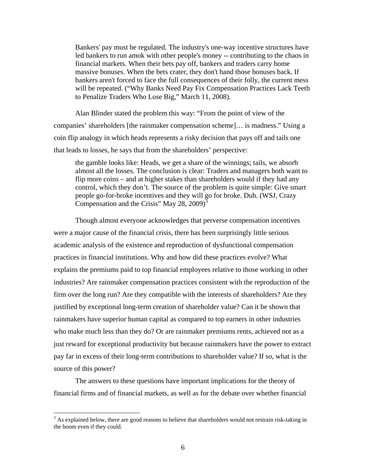Bankers' pay must be regulated. The industry's one-way incentive structures have led bankers to run amok with other people's money -- contributing to the chaos in financial markets. When their bets pay off, bankers and traders carry home massive bonuses. When the bets crater, they don't hand those bonuses back. If bankers aren't forced to face the full consequences of their folly, the current mess will be repeated. ("Why Banks Need Pay Fix Compensation Practices Lack Teeth to Penalize Traders Who Lose Big," March 11, 2008).

Alan Blinder stated the problem this way: "From the point of view of the companies' shareholders [the rainmaker compensation scheme]… is madness." Using a coin flip analogy in which heads represents a risky decision that pays off and tails one that leads to losses, he says that from the shareholders' perspective:

the gamble looks like: Heads, we get a share of the winnings; tails, we absorb almost all the losses. The conclusion is clear: Traders and managers both want to flip more coins – and at higher stakes than shareholders would if they had any control, which they don't. The source of the problem is quite simple: Give smart people go-for-broke incentives and they will go for broke. Duh. (WSJ, Crazy Compensation and the Crisis" May 28, 2009)<sup>[3](#page-7-0)</sup>

Though almost everyone acknowledges that perverse compensation incentives were a major cause of the financial crisis, there has been surprisingly little serious academic analysis of the existence and reproduction of dysfunctional compensation practices in financial institutions. Why and how did these practices evolve? What explains the premiums paid to top financial employees relative to those working in other industries? Are rainmaker compensation practices consistent with the reproduction of the firm over the long run? Are they compatible with the interests of shareholders? Are they justified by exceptional long-term creation of shareholder value? Can it be shown that rainmakers have superior human capital as compared to top earners in other industries who make much less than they do? Or are rainmaker premiums rents, achieved not as a just reward for exceptional productivity but because rainmakers have the power to extract pay far in excess of their long-term contributions to shareholder value? If so, what is the source of this power?

The answers to these questions have important implications for the theory of financial firms and of financial markets, as well as for the debate over whether financial

<span id="page-7-0"></span><sup>&</sup>lt;sup>3</sup> As explained below, there are good reasons to believe that shareholders would not restrain risk-taking in the boom even if they could.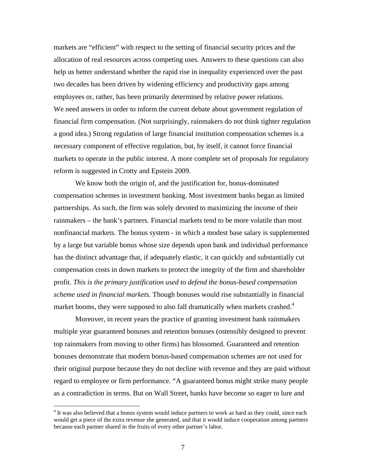markets are "efficient" with respect to the setting of financial security prices and the allocation of real resources across competing uses. Answers to these questions can also help us better understand whether the rapid rise in inequality experienced over the past two decades has been driven by widening efficiency and productivity gaps among employees or, rather, has been primarily determined by relative power relations. We need answers in order to inform the current debate about government regulation of financial firm compensation. (Not surprisingly, rainmakers do not think tighter regulation a good idea.) Strong regulation of large financial institution compensation schemes is a necessary component of effective regulation, but, by itself, it cannot force financial markets to operate in the public interest. A more complete set of proposals for regulatory reform is suggested in Crotty and Epstein 2009.

We know both the origin of, and the justification for, bonus-dominated compensation schemes in investment banking. Most investment banks began as limited partnerships. As such, the firm was solely devoted to maximizing the income of their rainmakers – the bank's partners. Financial markets tend to be more volatile than most nonfinancial markets. The bonus system - in which a modest base salary is supplemented by a large but variable bonus whose size depends upon bank and individual performance has the distinct advantage that, if adequately elastic, it can quickly and substantially cut compensation costs in down markets to protect the integrity of the firm and shareholder profit. *This is the primary justification used to defend the bonus-based compensation scheme used in financial markets.* Though bonuses would rise substantially in financial market booms, they were supposed to also fall dramatically when markets crashed.<sup>4</sup>

Moreover, in recent years the practice of granting investment bank rainmakers multiple year guaranteed bonuses and retention bonuses (ostensibly designed to prevent top rainmakers from moving to other firms) has blossomed. Guaranteed and retention bonuses demonstrate that modern bonus-based compensation schemes are not used for their original purpose because they do not decline with revenue and they are paid without regard to employee or firm performance. "A guaranteed bonus might strike many people as a contradiction in terms. But on Wall Street, banks have become so eager to lure and

<span id="page-8-0"></span><sup>&</sup>lt;sup>4</sup> It was also believed that a bonus system would induce partners to work as hard as they could, since each would get a piece of the extra revenue she generated, and that it would induce cooperation among partners because each partner shared in the fruits of every other partner's labor.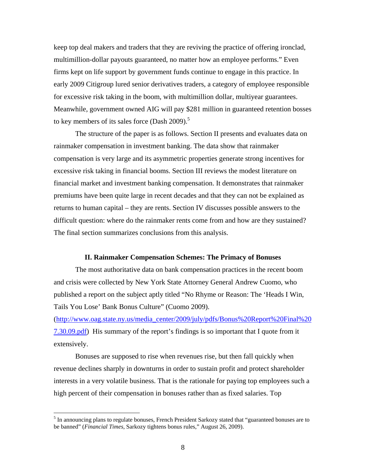keep top deal makers and traders that they are reviving the practice of offering ironclad, multimillion-dollar payouts guaranteed, no matter how an employee performs." Even firms kept on life support by government funds continue to engage in this practice. In early 2009 Citigroup lured senior derivatives traders, a category of employee responsible for excessive risk taking in the boom, with multimillion dollar, multiyear guarantees. Meanwhile, government owned AIG will pay \$281 million in guaranteed retention bosses to key members of its sales force (Dash  $2009$ ).<sup>[5](#page-9-0)</sup>

The structure of the paper is as follows. Section II presents and evaluates data on rainmaker compensation in investment banking. The data show that rainmaker compensation is very large and its asymmetric properties generate strong incentives for excessive risk taking in financial booms. Section III reviews the modest literature on financial market and investment banking compensation. It demonstrates that rainmaker premiums have been quite large in recent decades and that they can not be explained as returns to human capital – they are rents. Section IV discusses possible answers to the difficult question: where do the rainmaker rents come from and how are they sustained? The final section summarizes conclusions from this analysis.

#### **II. Rainmaker Compensation Schemes: The Primacy of Bonuses**

The most authoritative data on bank compensation practices in the recent boom and crisis were collected by New York State Attorney General Andrew Cuomo, who published a report on the subject aptly titled "No Rhyme or Reason: The 'Heads I Win, Tails You Lose' Bank Bonus Culture" (Cuomo 2009).

([http://www.oag.state.ny.us/media\\_center/2009/july/pdfs/Bonus%20Report%20Final%20](http://www.oag.state.ny.us/media_center/2009/july/pdfs/Bonus Report Final 7.30.09.pdf) [7.30.09.pdf\)](http://www.oag.state.ny.us/media_center/2009/july/pdfs/Bonus Report Final 7.30.09.pdf) His summary of the report's findings is so important that I quote from it extensively.

Bonuses are supposed to rise when revenues rise, but then fall quickly when revenue declines sharply in downturns in order to sustain profit and protect shareholder interests in a very volatile business. That is the rationale for paying top employees such a high percent of their compensation in bonuses rather than as fixed salaries. Top

 $\overline{a}$ 

<span id="page-9-0"></span><sup>&</sup>lt;sup>5</sup> In announcing plans to regulate bonuses, French President Sarkozy stated that "guaranteed bonuses are to be banned" (*Financial Times*, Sarkozy tightens bonus rules," August 26, 2009).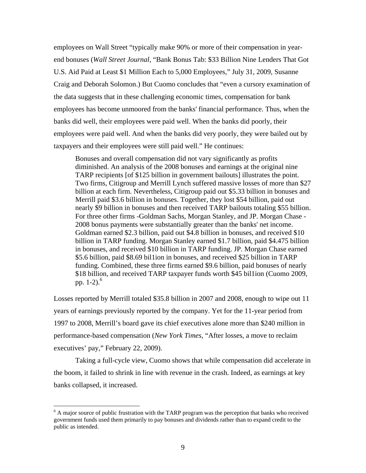employees on Wall Street "typically make 90% or more of their compensation in yearend bonuses (*Wall Street Journal*, "Bank Bonus Tab: \$33 Billion Nine Lenders That Got U.S. Aid Paid at Least \$1 Million Each to 5,000 Employees," July 31, 2009, Susanne Craig and Deborah Solomon.) But Cuomo concludes that "even a cursory examination of the data suggests that in these challenging economic times, compensation for bank employees has become unmoored from the banks' financial performance. Thus, when the banks did well, their employees were paid well. When the banks did poorly, their employees were paid well. And when the banks did very poorly, they were bailed out by taxpayers and their employees were still paid well." He continues:

Bonuses and overall compensation did not vary significantly as profits diminished. An analysis of the 2008 bonuses and earnings at the original nine TARP recipients [of \$125 billion in government bailouts] illustrates the point. Two firms, Citigroup and Merrill Lynch suffered massive losses of more than \$27 billion at each firm. Nevertheless, Citigroup paid out \$5.33 billion in bonuses and Merrill paid \$3.6 billion in bonuses. Together, they lost \$54 billion, paid out nearly \$9 billion in bonuses and then received TARP bailouts totaling \$55 billion. For three other firms -Goldman Sachs, Morgan Stanley, and JP. Morgan Chase - 2008 bonus payments were substantially greater than the banks' net income. Goldman earned \$2.3 billion, paid out \$4.8 billion in bonuses, and received \$10 billion in TARP funding. Morgan Stanley earned \$1.7 billion, paid \$4.475 billion in bonuses, and received \$10 billion in TARP funding. JP. Morgan Chase earned \$5.6 billion, paid \$8.69 bil1ion in bonuses, and received \$25 billion in TARP funding. Combined, these three firms earned \$9.6 billion, paid bonuses of nearly \$18 billion, and received TARP taxpayer funds worth \$45 bil1ion (Cuomo 2009, pp.  $1-2$ ).<sup>6</sup>

Losses reported by Merrill totaled \$35.8 billion in 2007 and 2008, enough to wipe out 11 years of earnings previously reported by the company. Yet for the 11-year period from 1997 to 2008, Merrill's board gave its chief executives alone more than \$240 million in performance-based compensation (*New York Times*, "After losses, a move to reclaim executives' pay," February 22, 2009).

Taking a full-cycle view, Cuomo shows that while compensation did accelerate in the boom, it failed to shrink in line with revenue in the crash. Indeed, as earnings at key banks collapsed, it increased.

 $\overline{a}$ 

<span id="page-10-0"></span><sup>&</sup>lt;sup>6</sup> A major source of public frustration with the TARP program was the perception that banks who received government funds used them primarily to pay bonuses and dividends rather than to expand credit to the public as intended.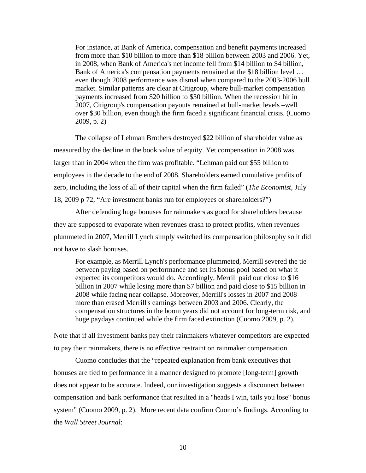For instance, at Bank of America, compensation and benefit payments increased from more than \$10 billion to more than \$18 billion between 2003 and 2006. Yet, in 2008, when Bank of America's net income fell from \$14 billion to \$4 billion, Bank of America's compensation payments remained at the \$18 billion level … even though 2008 performance was dismal when compared to the 2003-2006 bull market. Similar patterns are clear at Citigroup, where bull-market compensation payments increased from \$20 billion to \$30 billion. When the recession hit in 2007, Citigroup's compensation payouts remained at bull-market levels –well over \$30 billion, even though the firm faced a significant financial crisis. (Cuomo 2009, p. 2)

The collapse of Lehman Brothers destroyed \$22 billion of shareholder value as measured by the decline in the book value of equity. Yet compensation in 2008 was larger than in 2004 when the firm was profitable. "Lehman paid out \$55 billion to employees in the decade to the end of 2008. Shareholders earned cumulative profits of zero, including the loss of all of their capital when the firm failed" (*The Economist*, July 18, 2009 p 72, "Are investment banks run for employees or shareholders?")

After defending huge bonuses for rainmakers as good for shareholders because they are supposed to evaporate when revenues crash to protect profits, when revenues plummeted in 2007, Merrill Lynch simply switched its compensation philosophy so it did not have to slash bonuses.

For example, as Merrill Lynch's performance plummeted, Merrill severed the tie between paying based on performance and set its bonus pool based on what it expected its competitors would do. Accordingly, Merrill paid out close to \$16 billion in 2007 while losing more than \$7 billion and paid close to \$15 billion in 2008 while facing near collapse. Moreover, Merrill's losses in 2007 and 2008 more than erased Merrill's earnings between 2003 and 2006. Clearly, the compensation structures in the boom years did not account for long-term risk, and huge paydays continued while the firm faced extinction (Cuomo 2009, p. 2).

Note that if all investment banks pay their rainmakers whatever competitors are expected to pay their rainmakers, there is no effective restraint on rainmaker compensation.

Cuomo concludes that the "repeated explanation from bank executives that bonuses are tied to performance in a manner designed to promote [long-term] growth does not appear to be accurate. Indeed, our investigation suggests a disconnect between compensation and bank performance that resulted in a "heads I win, tails you lose" bonus system" (Cuomo 2009, p. 2). More recent data confirm Cuomo's findings. According to the *Wall Street Journal*: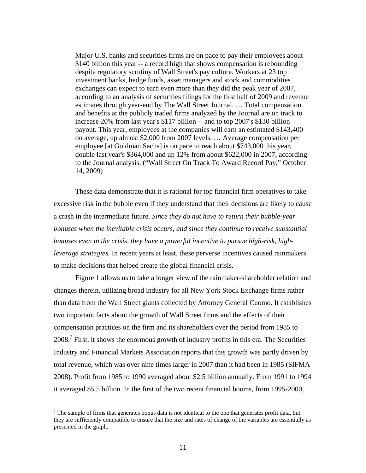Major U.S. banks and securities firms are on pace to pay their employees about \$140 billion this year -- a record high that shows compensation is rebounding despite regulatory scrutiny of Wall Street's pay culture. Workers at 23 top investment banks, hedge funds, asset managers and stock and commodities exchanges can expect to earn even more than they did the peak year of 2007, according to an analysis of securities filings for the first half of 2009 and revenue estimates through year-end by The Wall Street Journal. … Total compensation and benefits at the publicly traded firms analyzed by the Journal are on track to increase 20% from last year's \$117 billion -- and to top 2007's \$130 billion payout. This year, employees at the companies will earn an estimated \$143,400 on average, up almost \$2,000 from 2007 levels. … Average compensation per employee [at Goldman Sachs] is on pace to reach about \$743,000 this year, double last year's \$364,000 and up 12% from about \$622,000 in 2007, according to the Journal analysis. ("Wall Street On Track To Award Record Pay," October 14, 2009)

These data demonstrate that it is rational for top financial firm operatives to take excessive risk in the bubble even if they understand that their decisions are likely to cause a crash in the intermediate future. *Since they do not have to return their bubble-year bonuses when the inevitable crisis occurs, and since they continue to receive substantial bonuses even in the crisis, they have a powerful incentive to pursue high-risk, highleverage strategies.* In recent years at least, these perverse incentives caused rainmakers to make decisions that helped create the global financial crisis.

Figure 1 allows us to take a longer view of the rainmaker-shareholder relation and changes therein, utilizing broad industry for all New York Stock Exchange firms rather than data from the Wall Street giants collected by Attorney General Cuomo. It establishes two important facts about the growth of Wall Street firms and the effects of their compensation practices on the firm and its shareholders over the period from 1985 to  $2008$ .<sup>7</sup> First, it shows the enormous growth of industry profits in this era. The Securities Industry and Financial Markets Association reports that this growth was partly driven by total revenue, which was over nine times larger in 2007 than it had been in 1985 (SIFMA 2008). Profit from 1985 to 1990 averaged about \$2.5 billion annually. From 1991 to 1994 it averaged \$5.5 billion. In the first of the two recent financial booms, from 1995-2000,

<span id="page-12-0"></span> $<sup>7</sup>$  The sample of firms that generates bonus data is not identical to the one that generates profit data, but</sup> they are sufficiently compatible to ensure that the size and rates of change of the variables are essentially as presented in the graph.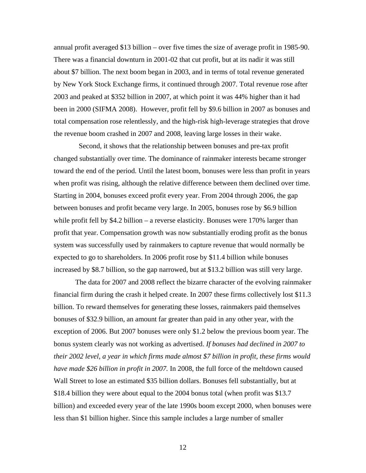annual profit averaged \$13 billion – over five times the size of average profit in 1985-90. There was a financial downturn in 2001-02 that cut profit, but at its nadir it was still about \$7 billion. The next boom began in 2003, and in terms of total revenue generated by New York Stock Exchange firms, it continued through 2007. Total revenue rose after 2003 and peaked at \$352 billion in 2007, at which point it was 44% higher than it had been in 2000 (SIFMA 2008). However, profit fell by \$9.6 billion in 2007 as bonuses and total compensation rose relentlessly, and the high-risk high-leverage strategies that drove the revenue boom crashed in 2007 and 2008, leaving large losses in their wake.

 Second, it shows that the relationship between bonuses and pre-tax profit changed substantially over time. The dominance of rainmaker interests became stronger toward the end of the period. Until the latest boom, bonuses were less than profit in years when profit was rising, although the relative difference between them declined over time. Starting in 2004, bonuses exceed profit every year. From 2004 through 2006, the gap between bonuses and profit became very large. In 2005, bonuses rose by \$6.9 billion while profit fell by \$4.2 billion – a reverse elasticity. Bonuses were 170% larger than profit that year. Compensation growth was now substantially eroding profit as the bonus system was successfully used by rainmakers to capture revenue that would normally be expected to go to shareholders. In 2006 profit rose by \$11.4 billion while bonuses increased by \$8.7 billion, so the gap narrowed, but at \$13.2 billion was still very large.

The data for 2007 and 2008 reflect the bizarre character of the evolving rainmaker financial firm during the crash it helped create. In 2007 these firms collectively lost \$11.3 billion. To reward themselves for generating these losses, rainmakers paid themselves bonuses of \$32.9 billion, an amount far greater than paid in any other year, with the exception of 2006. But 2007 bonuses were only \$1.2 below the previous boom year. The bonus system clearly was not working as advertised. *If bonuses had declined in 2007 to their 2002 level, a year in which firms made almost \$7 billion in profit, these firms would have made \$26 billion in profit in 2007.* In 2008, the full force of the meltdown caused Wall Street to lose an estimated \$35 billion dollars. Bonuses fell substantially, but at \$18.4 billion they were about equal to the 2004 bonus total (when profit was \$13.7 billion) and exceeded every year of the late 1990s boom except 2000, when bonuses were less than \$1 billion higher. Since this sample includes a large number of smaller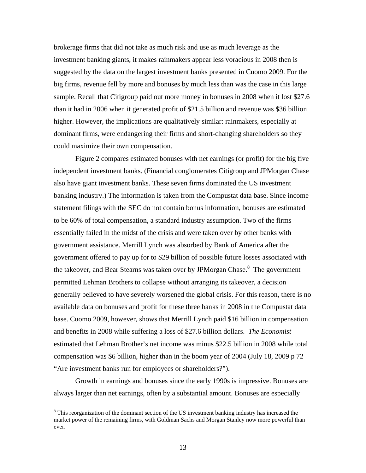brokerage firms that did not take as much risk and use as much leverage as the investment banking giants, it makes rainmakers appear less voracious in 2008 then is suggested by the data on the largest investment banks presented in Cuomo 2009. For the big firms, revenue fell by more and bonuses by much less than was the case in this large sample. Recall that Citigroup paid out more money in bonuses in 2008 when it lost \$27.6 than it had in 2006 when it generated profit of \$21.5 billion and revenue was \$36 billion higher. However, the implications are qualitatively similar: rainmakers, especially at dominant firms, were endangering their firms and short-changing shareholders so they could maximize their own compensation.

Figure 2 compares estimated bonuses with net earnings (or profit) for the big five independent investment banks. (Financial conglomerates Citigroup and JPMorgan Chase also have giant investment banks. These seven firms dominated the US investment banking industry.) The information is taken from the Compustat data base. Since income statement filings with the SEC do not contain bonus information, bonuses are estimated to be 60% of total compensation, a standard industry assumption. Two of the firms essentially failed in the midst of the crisis and were taken over by other banks with government assistance. Merrill Lynch was absorbed by Bank of America after the government offered to pay up for to \$29 billion of possible future losses associated with thetakeover, and Bear Stearns was taken over by JPMorgan Chase.<sup>8</sup> The government permitted Lehman Brothers to collapse without arranging its takeover, a decision generally believed to have severely worsened the global crisis. For this reason, there is no available data on bonuses and profit for these three banks in 2008 in the Compustat data base. Cuomo 2009, however, shows that Merrill Lynch paid \$16 billion in compensation and benefits in 2008 while suffering a loss of \$27.6 billion dollars. *The Economist*  estimated that Lehman Brother's net income was minus \$22.5 billion in 2008 while total compensation was \$6 billion, higher than in the boom year of 2004 (July 18, 2009 p 72 "Are investment banks run for employees or shareholders?").

Growth in earnings and bonuses since the early 1990s is impressive. Bonuses are always larger than net earnings, often by a substantial amount. Bonuses are especially

<span id="page-14-0"></span><sup>&</sup>lt;sup>8</sup> This reorganization of the dominant section of the US investment banking industry has increased the market power of the remaining firms, with Goldman Sachs and Morgan Stanley now more powerful than ever.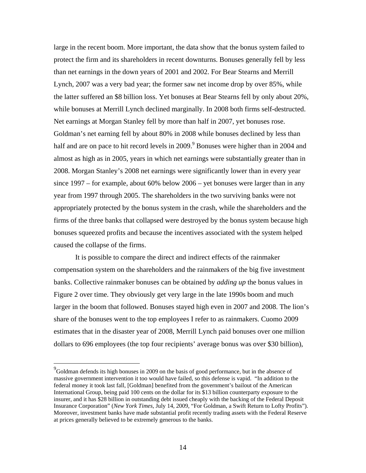large in the recent boom. More important, the data show that the bonus system failed to protect the firm and its shareholders in recent downturns. Bonuses generally fell by less than net earnings in the down years of 2001 and 2002. For Bear Stearns and Merrill Lynch, 2007 was a very bad year; the former saw net income drop by over 85%, while the latter suffered an \$8 billion loss. Yet bonuses at Bear Stearns fell by only about 20%, while bonuses at Merrill Lynch declined marginally. In 2008 both firms self-destructed. Net earnings at Morgan Stanley fell by more than half in 2007, yet bonuses rose. Goldman's net earning fell by about 80% in 2008 while bonuses declined by less than half and are on pace to hit record levels in 200[9](#page-15-0).<sup>9</sup> Bonuses were higher than in 2004 and almost as high as in 2005, years in which net earnings were substantially greater than in 2008. Morgan Stanley's 2008 net earnings were significantly lower than in every year since 1997 – for example, about 60% below 2006 – yet bonuses were larger than in any year from 1997 through 2005. The shareholders in the two surviving banks were not appropriately protected by the bonus system in the crash, while the shareholders and the firms of the three banks that collapsed were destroyed by the bonus system because high bonuses squeezed profits and because the incentives associated with the system helped caused the collapse of the firms.

It is possible to compare the direct and indirect effects of the rainmaker compensation system on the shareholders and the rainmakers of the big five investment banks. Collective rainmaker bonuses can be obtained by *adding up* the bonus values in Figure 2 over time. They obviously get very large in the late 1990s boom and much larger in the boom that followed. Bonuses stayed high even in 2007 and 2008. The lion's share of the bonuses went to the top employees I refer to as rainmakers. Cuomo 2009 estimates that in the disaster year of 2008, Merrill Lynch paid bonuses over one million dollars to 696 employees (the top four recipients' average bonus was over \$30 billion),

<span id="page-15-0"></span> $9^9$ Goldman defends its high bonuses in 2009 on the basis of good performance, but in the absence of massive government intervention it too would have failed, so this defense is vapid. "In addition to the federal money it took last fall, [Goldman] benefited from the government's bailout of the American International Group, being paid 100 cents on the dollar for its \$13 billion counterparty exposure to the insurer, and it has \$28 billion in outstanding debt issued cheaply with the backing of the Federal Deposit Insurance Corporation" (*New York Times*, July 14, 2009, "For Goldman, a Swift Return to Lofty Profits"). Moreover, investment banks have made substantial profit recently trading assets with the Federal Reserve at prices generally believed to be extremely generous to the banks.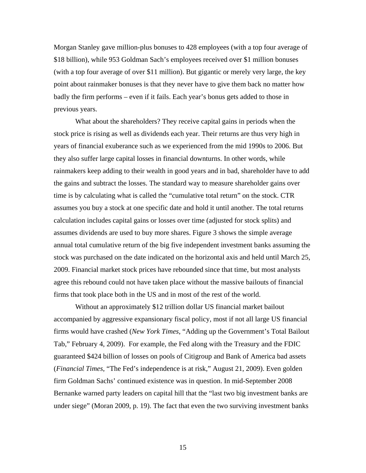Morgan Stanley gave million-plus bonuses to 428 employees (with a top four average of \$18 billion), while 953 Goldman Sach's employees received over \$1 million bonuses (with a top four average of over \$11 million). But gigantic or merely very large, the key point about rainmaker bonuses is that they never have to give them back no matter how badly the firm performs – even if it fails. Each year's bonus gets added to those in previous years.

What about the shareholders? They receive capital gains in periods when the stock price is rising as well as dividends each year. Their returns are thus very high in years of financial exuberance such as we experienced from the mid 1990s to 2006. But they also suffer large capital losses in financial downturns. In other words, while rainmakers keep adding to their wealth in good years and in bad, shareholder have to add the gains and subtract the losses. The standard way to measure shareholder gains over time is by calculating what is called the "cumulative total return" on the stock. CTR assumes you buy a stock at one specific date and hold it until another. The total returns calculation includes capital gains or losses over time (adjusted for stock splits) and assumes dividends are used to buy more shares. Figure 3 shows the simple average annual total cumulative return of the big five independent investment banks assuming the stock was purchased on the date indicated on the horizontal axis and held until March 25, 2009. Financial market stock prices have rebounded since that time, but most analysts agree this rebound could not have taken place without the massive bailouts of financial firms that took place both in the US and in most of the rest of the world.

Without an approximately \$12 trillion dollar US financial market bailout accompanied by aggressive expansionary fiscal policy, most if not all large US financial firms would have crashed (*New York Times*, "Adding up the Government's Total Bailout Tab," February 4, 2009). For example, the Fed along with the Treasury and the FDIC guaranteed \$424 billion of losses on pools of Citigroup and Bank of America bad assets (*Financial Times*, "The Fed's independence is at risk," August 21, 2009). Even golden firm Goldman Sachs' continued existence was in question. In mid-September 2008 Bernanke warned party leaders on capital hill that the "last two big investment banks are under siege" (Moran 2009, p. 19). The fact that even the two surviving investment banks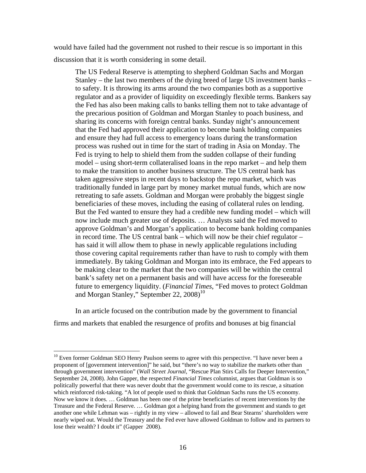would have failed had the government not rushed to their rescue is so important in this discussion that it is worth considering in some detail.

The US Federal Reserve is attempting to shepherd Goldman Sachs and Morgan Stanley – the last two members of the dying breed of large US investment banks – to safety. It is throwing its arms around the two companies both as a supportive regulator and as a provider of liquidity on exceedingly flexible terms. Bankers say the Fed has also been making calls to banks telling them not to take advantage of the precarious position of Goldman and Morgan Stanley to poach business, and sharing its concerns with foreign central banks. Sunday night's announcement that the Fed had approved their application to become bank holding companies and ensure they had full access to emergency loans during the transformation process was rushed out in time for the start of trading in Asia on Monday. The Fed is trying to help to shield them from the sudden collapse of their funding model – using short-term collateralised loans in the repo market – and help them to make the transition to another business structure. The US central bank has taken aggressive steps in recent days to backstop the repo market, which was traditionally funded in large part by money market mutual funds, which are now retreating to safe assets. Goldman and Morgan were probably the biggest single beneficiaries of these moves, including the easing of collateral rules on lending. But the Fed wanted to ensure they had a credible new funding model – which will now include much greater use of deposits. … Analysts said the Fed moved to approve Goldman's and Morgan's application to become bank holding companies in record time. The US central bank – which will now be their chief regulator – has said it will allow them to phase in newly applicable regulations including those covering capital requirements rather than have to rush to comply with them immediately. By taking Goldman and Morgan into its embrace, the Fed appears to be making clear to the market that the two companies will be within the central bank's safety net on a permanent basis and will have access for the foreseeable future to emergency liquidity. (*Financial Times*, "Fed moves to protect Goldman and Morgan Stanley," September 22,  $2008$ <sup>[10](#page-17-0)</sup>

In an article focused on the contribution made by the government to financial firms and markets that enabled the resurgence of profits and bonuses at big financial

<span id="page-17-0"></span><sup>&</sup>lt;sup>10</sup> Even former Goldman SEO Henry Paulson seems to agree with this perspective. "I have never been a proponent of [government intervention]" he said, but "there's no way to stabilize the markets other than through government intervention" (*Wall Street Journal*, "Rescue Plan Stirs Calls for Deeper Intervention," September 24, 2008). John Gapper, the respected *Financial Times* columnist, argues that Goldman is so politically powerful that there was never doubt that the government would come to its rescue, a situation which reinforced risk-taking. "A lot of people used to think that Goldman Sachs runs the US economy. Now we know it does. … Goldman has been one of the prime beneficiaries of recent interventions by the Treasure and the Federal Reserve. … Goldman got a helping hand from the government and stands to get another one while Lehman was – rightly in my view – allowed to fail and Bear Stearns' shareholders were nearly wiped out. Would the Treasury and the Fed ever have allowed Goldman to follow and its partners to lose their wealth? I doubt it" (Gapper 2008).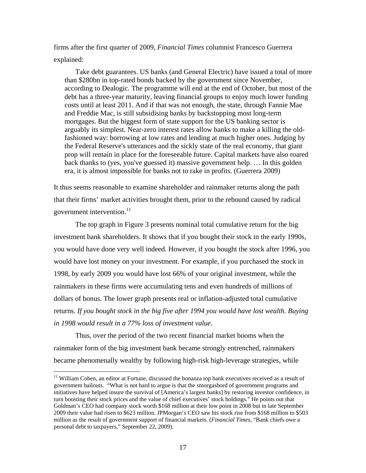firms after the first quarter of 2009, *Financial Times* columnist Francesco Guerrera explained:

Take debt guarantees. US banks (and General Electric) have issued a total of more than \$280bn in top-rated bonds backed by the government since November, according to Dealogic. The programme will end at the end of October, but most of the debt has a three-year maturity, leaving financial groups to enjoy much lower funding costs until at least 2011. And if that was not enough, the state, through Fannie Mae and Freddie Mac, is still subsidising banks by backstopping most long-term mortgages. But the biggest form of state support for the US banking sector is arguably its simplest. Near-zero interest rates allow banks to make a killing the oldfashioned way: borrowing at low rates and lending at much higher ones. Judging by the Federal Reserve's utterances and the sickly state of the real economy, that giant prop will remain in place for the foreseeable future. Capital markets have also roared back thanks to (yes, you've guessed it) massive government help. … In this golden era, it is almost impossible for banks not to rake in profits. (Guerrera 2009)

It thus seems reasonable to examine shareholder and rainmaker returns along the path that their firms' market activities brought them, prior to the rebound caused by radical government intervention.<sup>11</sup>

The top graph in Figure 3 presents nominal total cumulative return for the big investment bank shareholders. It shows that if you bought their stock in the early 1990s, you would have done very well indeed. However, if you bought the stock after 1996, you would have lost money on your investment. For example, if you purchased the stock in 1998, by early 2009 you would have lost 66% of your original investment, while the rainmakers in these firms were accumulating tens and even hundreds of millions of dollars of bonus. The lower graph presents real or inflation-adjusted total cumulative returns. *If you bought stock in the big five after 1994 you would have lost wealth. Buying in 1998 would result in a 77% loss of investment value*.

Thus, over the period of the two recent financial market booms when the rainmaker form of the big investment bank became strongly entrenched, rainmakers became phenomenally wealthy by following high-risk high-leverage strategies, while

<span id="page-18-0"></span><sup>&</sup>lt;sup>11</sup> William Cohen, an editor at Fortune, discussed the bonanza top bank executives received as a result of government bailouts. "What is not hard to argue is that the smorgasbord of government programs and initiatives have helped insure the survival of [America's largest banks] by restoring investor confidence, in turn boosting their stock prices and the value of chief executives' stock holdings." He points out that Goldman's CEO had company stock worth \$168 million at their low point in 2008 but in late September 2009 their value had risen to \$623 million. JPMorgan's CEO saw his stock rise from \$168 million to \$503 million as the result of government support of financial markets. (*Financial Times*, "Bank chiefs owe a personal debt to taxpayers," September 22, 2009).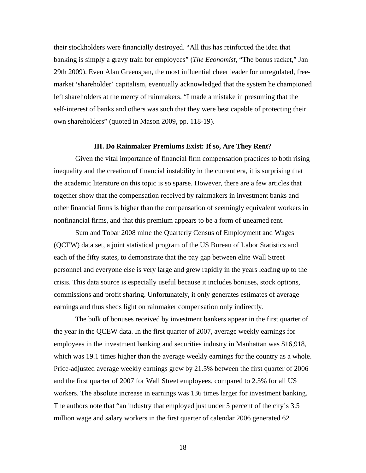their stockholders were financially destroyed. "All this has reinforced the idea that banking is simply a gravy train for employees" (*The Economist,* "The bonus racket," Jan 29th 2009). Even Alan Greenspan, the most influential cheer leader for unregulated, freemarket 'shareholder' capitalism, eventually acknowledged that the system he championed left shareholders at the mercy of rainmakers. "I made a mistake in presuming that the self-interest of banks and others was such that they were best capable of protecting their own shareholders" (quoted in Mason 2009, pp. 118-19).

#### **III. Do Rainmaker Premiums Exist: If so, Are They Rent?**

Given the vital importance of financial firm compensation practices to both rising inequality and the creation of financial instability in the current era, it is surprising that the academic literature on this topic is so sparse. However, there are a few articles that together show that the compensation received by rainmakers in investment banks and other financial firms is higher than the compensation of seemingly equivalent workers in nonfinancial firms, and that this premium appears to be a form of unearned rent.

Sum and Tobar 2008 mine the Quarterly Census of Employment and Wages (QCEW) data set, a joint statistical program of the US Bureau of Labor Statistics and each of the fifty states, to demonstrate that the pay gap between elite Wall Street personnel and everyone else is very large and grew rapidly in the years leading up to the crisis. This data source is especially useful because it includes bonuses, stock options, commissions and profit sharing. Unfortunately, it only generates estimates of average earnings and thus sheds light on rainmaker compensation only indirectly.

The bulk of bonuses received by investment bankers appear in the first quarter of the year in the QCEW data. In the first quarter of 2007, average weekly earnings for employees in the investment banking and securities industry in Manhattan was \$16,918, which was 19.1 times higher than the average weekly earnings for the country as a whole. Price-adjusted average weekly earnings grew by 21.5% between the first quarter of 2006 and the first quarter of 2007 for Wall Street employees, compared to 2.5% for all US workers. The absolute increase in earnings was 136 times larger for investment banking. The authors note that "an industry that employed just under 5 percent of the city's 3.5 million wage and salary workers in the first quarter of calendar 2006 generated 62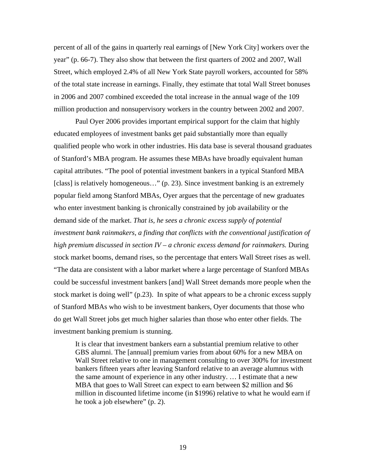percent of all of the gains in quarterly real earnings of [New York City] workers over the year" (p. 66-7). They also show that between the first quarters of 2002 and 2007, Wall Street, which employed 2.4% of all New York State payroll workers, accounted for 58% of the total state increase in earnings. Finally, they estimate that total Wall Street bonuses in 2006 and 2007 combined exceeded the total increase in the annual wage of the 109 million production and nonsupervisory workers in the country between 2002 and 2007.

Paul Oyer 2006 provides important empirical support for the claim that highly educated employees of investment banks get paid substantially more than equally qualified people who work in other industries. His data base is several thousand graduates of Stanford's MBA program. He assumes these MBAs have broadly equivalent human capital attributes. "The pool of potential investment bankers in a typical Stanford MBA [class] is relatively homogeneous…" (p. 23). Since investment banking is an extremely popular field among Stanford MBAs, Oyer argues that the percentage of new graduates who enter investment banking is chronically constrained by job availability or the demand side of the market. *That is, he sees a chronic excess supply of potential investment bank rainmakers, a finding that conflicts with the conventional justification of high premium discussed in section IV – a chronic excess demand for rainmakers.* During stock market booms, demand rises, so the percentage that enters Wall Street rises as well. "The data are consistent with a labor market where a large percentage of Stanford MBAs could be successful investment bankers [and] Wall Street demands more people when the stock market is doing well" (p.23). In spite of what appears to be a chronic excess supply of Stanford MBAs who wish to be investment bankers, Oyer documents that those who do get Wall Street jobs get much higher salaries than those who enter other fields. The investment banking premium is stunning.

It is clear that investment bankers earn a substantial premium relative to other GBS alumni. The [annual] premium varies from about 60% for a new MBA on Wall Street relative to one in management consulting to over 300% for investment bankers fifteen years after leaving Stanford relative to an average alumnus with the same amount of experience in any other industry. … I estimate that a new MBA that goes to Wall Street can expect to earn between \$2 million and \$6 million in discounted lifetime income (in \$1996) relative to what he would earn if he took a job elsewhere" (p. 2).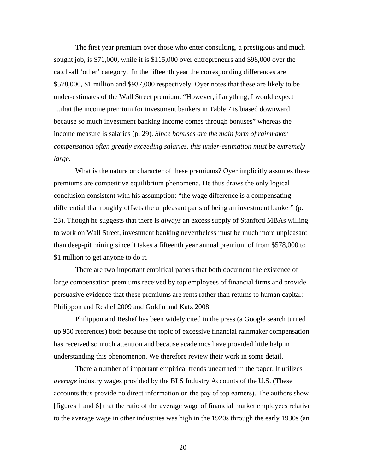The first year premium over those who enter consulting, a prestigious and much sought job, is \$71,000, while it is \$115,000 over entrepreneurs and \$98,000 over the catch-all 'other' category. In the fifteenth year the corresponding differences are \$578,000, \$1 million and \$937,000 respectively. Oyer notes that these are likely to be under-estimates of the Wall Street premium. "However, if anything, I would expect …that the income premium for investment bankers in Table 7 is biased downward because so much investment banking income comes through bonuses" whereas the income measure is salaries (p. 29). *Since bonuses are the main form of rainmaker compensation often greatly exceeding salaries, this under-estimation must be extremely large.* 

What is the nature or character of these premiums? Oyer implicitly assumes these premiums are competitive equilibrium phenomena. He thus draws the only logical conclusion consistent with his assumption: "the wage difference is a compensating differential that roughly offsets the unpleasant parts of being an investment banker" (p. 23). Though he suggests that there is *always* an excess supply of Stanford MBAs willing to work on Wall Street, investment banking nevertheless must be much more unpleasant than deep-pit mining since it takes a fifteenth year annual premium of from \$578,000 to \$1 million to get anyone to do it.

There are two important empirical papers that both document the existence of large compensation premiums received by top employees of financial firms and provide persuasive evidence that these premiums are rents rather than returns to human capital: Philippon and Reshef 2009 and Goldin and Katz 2008.

Philippon and Reshef has been widely cited in the press (a Google search turned up 950 references) both because the topic of excessive financial rainmaker compensation has received so much attention and because academics have provided little help in understanding this phenomenon. We therefore review their work in some detail.

There a number of important empirical trends unearthed in the paper. It utilizes *average* industry wages provided by the BLS Industry Accounts of the U.S. (These accounts thus provide no direct information on the pay of top earners). The authors show [figures 1 and 6] that the ratio of the average wage of financial market employees relative to the average wage in other industries was high in the 1920s through the early 1930s (an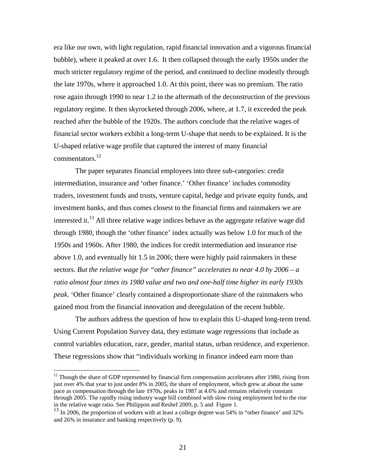era like our own, with light regulation, rapid financial innovation and a vigorous financial bubble), where it peaked at over 1.6. It then collapsed through the early 1950s under the much stricter regulatory regime of the period, and continued to decline modestly through the late 1970s, where it approached 1.0. At this point, there was no premium. The ratio rose again through 1990 to near 1.2 in the aftermath of the deconstruction of the previous regulatory regime. It then skyrocketed through 2006, where, at 1.7, it exceeded the peak reached after the bubble of the 1920s. The authors conclude that the relative wages of financial sector workers exhibit a long-term U-shape that needs to be explained. It is the U-shaped relative wage profile that captured the interest of many financial commentators[.12](#page-22-0) 

The paper separates financial employees into three sub-categories: credit intermediation, insurance and 'other finance.' 'Other finance' includes commodity traders, investment funds and trusts, venture capital, hedge and private equity funds, and investment banks, and thus comes closest to the financial firms and rainmakers we are interested it.<sup>13</sup> All three relative wage indices behave as the aggregate relative wage did through 1980, though the 'other finance' index actually was below 1.0 for much of the 1950s and 1960s. After 1980, the indices for credit intermediation and insurance rise above 1.0, and eventually hit 1.5 in 2006; there were highly paid rainmakers in these sectors. *But the relative wage for "other finance" accelerates to near 4.0 by 2006 – a ratio almost four times its 1980 value and two and one-half time higher its early 1930s peak.* 'Other finance' clearly contained a disproportionate share of the rainmakers who gained most from the financial innovation and deregulation of the recent bubble.

The authors address the question of how to explain this U-shaped long-term trend. Using Current Population Survey data, they estimate wage regressions that include as control variables education, race, gender, marital status, urban residence, and experience. These regressions show that "individuals working in finance indeed earn more than

<span id="page-22-0"></span> $12$  Though the share of GDP represented by financial firm compensation accelerates after 1980, rising from just over 4% that year to just under 8% in 2005, the share of employment, which grew at about the same pace as compensation through the late 1970s, peaks in 1987 at 4.6% and remains relatively constant through 2005. The rapidly rising industry wage bill combined with slow rising employment led to the rise<br>in the relative wage ratio. See Philippon and Reshef 2009, p. 5 and Figure 1.

<span id="page-22-1"></span> $\frac{13}{13}$  In 2006, the proportion of workers with at least a college degree was 54% in "other finance' and 32% and 26% in insurance and banking respectively (p. 9).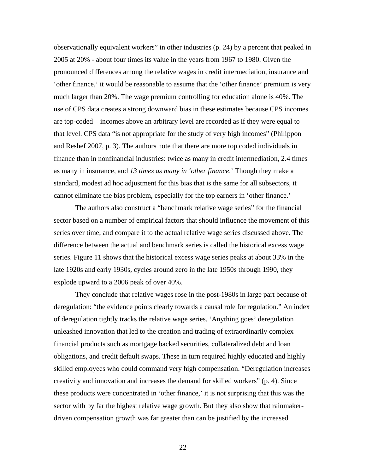observationally equivalent workers" in other industries (p. 24) by a percent that peaked in 2005 at 20% - about four times its value in the years from 1967 to 1980. Given the pronounced differences among the relative wages in credit intermediation, insurance and 'other finance,' it would be reasonable to assume that the 'other finance' premium is very much larger than 20%. The wage premium controlling for education alone is 40%. The use of CPS data creates a strong downward bias in these estimates because CPS incomes are top-coded – incomes above an arbitrary level are recorded as if they were equal to that level. CPS data "is not appropriate for the study of very high incomes" (Philippon and Reshef 2007, p. 3). The authors note that there are more top coded individuals in finance than in nonfinancial industries: twice as many in credit intermediation, 2.4 times as many in insurance, and *13 times as many in 'other finance*.' Though they make a standard, modest ad hoc adjustment for this bias that is the same for all subsectors, it cannot eliminate the bias problem, especially for the top earners in 'other finance.'

The authors also construct a "benchmark relative wage series" for the financial sector based on a number of empirical factors that should influence the movement of this series over time, and compare it to the actual relative wage series discussed above. The difference between the actual and benchmark series is called the historical excess wage series. Figure 11 shows that the historical excess wage series peaks at about 33% in the late 1920s and early 1930s, cycles around zero in the late 1950s through 1990, they explode upward to a 2006 peak of over 40%.

They conclude that relative wages rose in the post-1980s in large part because of deregulation: "the evidence points clearly towards a causal role for regulation." An index of deregulation tightly tracks the relative wage series. 'Anything goes' deregulation unleashed innovation that led to the creation and trading of extraordinarily complex financial products such as mortgage backed securities, collateralized debt and loan obligations, and credit default swaps. These in turn required highly educated and highly skilled employees who could command very high compensation. "Deregulation increases creativity and innovation and increases the demand for skilled workers" (p. 4). Since these products were concentrated in 'other finance,' it is not surprising that this was the sector with by far the highest relative wage growth. But they also show that rainmakerdriven compensation growth was far greater than can be justified by the increased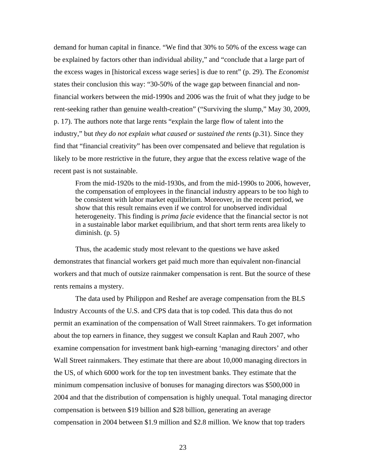demand for human capital in finance. "We find that 30% to 50% of the excess wage can be explained by factors other than individual ability," and "conclude that a large part of the excess wages in [historical excess wage series] is due to rent" (p. 29). The *Economist* states their conclusion this way: "30-50% of the wage gap between financial and nonfinancial workers between the mid-1990s and 2006 was the fruit of what they judge to be rent-seeking rather than genuine wealth-creation" ("Surviving the slump," May 30, 2009, p. 17). The authors note that large rents "explain the large flow of talent into the industry," but *they do not explain what caused or sustained the rents* (p.31). Since they find that "financial creativity" has been over compensated and believe that regulation is likely to be more restrictive in the future, they argue that the excess relative wage of the recent past is not sustainable.

From the mid-1920s to the mid-1930s, and from the mid-1990s to 2006, however, the compensation of employees in the financial industry appears to be too high to be consistent with labor market equilibrium. Moreover, in the recent period, we show that this result remains even if we control for unobserved individual heterogeneity. This finding is *prima facie* evidence that the financial sector is not in a sustainable labor market equilibrium, and that short term rents area likely to diminish. (p. 5)

Thus, the academic study most relevant to the questions we have asked demonstrates that financial workers get paid much more than equivalent non-financial workers and that much of outsize rainmaker compensation is rent. But the source of these rents remains a mystery.

The data used by Philippon and Reshef are average compensation from the BLS Industry Accounts of the U.S. and CPS data that is top coded. This data thus do not permit an examination of the compensation of Wall Street rainmakers. To get information about the top earners in finance, they suggest we consult Kaplan and Rauh 2007, who examine compensation for investment bank high-earning 'managing directors' and other Wall Street rainmakers. They estimate that there are about 10,000 managing directors in the US, of which 6000 work for the top ten investment banks. They estimate that the minimum compensation inclusive of bonuses for managing directors was \$500,000 in 2004 and that the distribution of compensation is highly unequal. Total managing director compensation is between \$19 billion and \$28 billion, generating an average compensation in 2004 between \$1.9 million and \$2.8 million. We know that top traders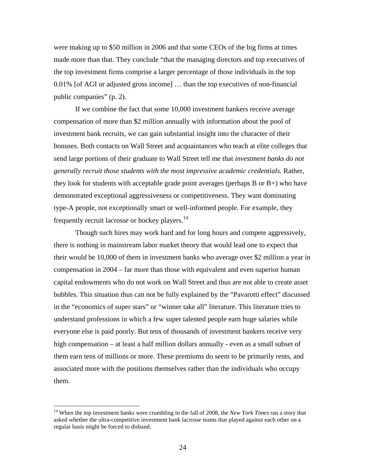were making up to \$50 million in 2006 and that some CEOs of the big firms at times made more than that. They conclude "that the managing directors and top executives of the top investment firms comprise a larger percentage of those individuals in the top 0.01% [of AGI or adjusted gross income] … than the top executives of non-financial public companies" (p. 2).

If we combine the fact that some 10,000 investment bankers receive average compensation of more than \$2 million annually with information about the pool of investment bank recruits, we can gain substantial insight into the character of their bonuses. Both contacts on Wall Street and acquaintances who teach at elite colleges that send large portions of their graduate to Wall Street tell me that *investment banks do not generally recruit those students with the most impressive academic credentials*. Rather, they look for students with acceptable grade point averages (perhaps B or B+) who have demonstrated exceptional aggressiveness or competitiveness. They want dominating type-A people, not exceptionally smart or well-informed people. For example, they frequently recruit lacrosse or hockey players.<sup>14</sup>

Though such hires may work hard and for long hours and compete aggressively, there is nothing in mainstream labor market theory that would lead one to expect that their would be 10,000 of them in investment banks who average over \$2 million a year in compensation in 2004 – far more than those with equivalent and even superior human capital endowments who do not work on Wall Street and thus are not able to create asset bubbles. This situation thus can not be fully explained by the "Pavarotti effect" discussed in the "economics of super stars" or "winner take all" literature. This literature tries to understand professions in which a few super talented people earn huge salaries while everyone else is paid poorly. But tens of thousands of investment bankers receive very high compensation – at least a half million dollars annually - even as a small subset of them earn tens of millions or more. These premiums do seem to be primarily rents, and associated more with the positions themselves rather than the individuals who occupy them.

 $\overline{a}$ 

<span id="page-25-0"></span><sup>&</sup>lt;sup>14</sup> When the top investment banks were crumbling in the fall of 2008, the *New York Times* ran a story that asked whether the ultra-competitive investment bank lacrosse teams that played against each other on a regular basis might be forced to disband.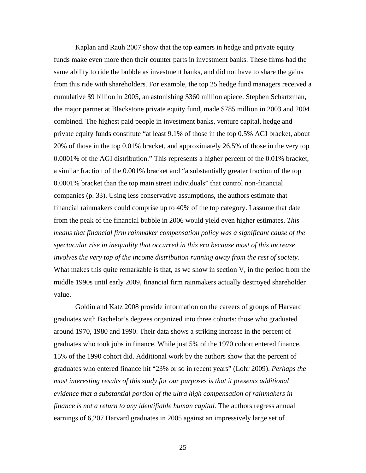Kaplan and Rauh 2007 show that the top earners in hedge and private equity funds make even more then their counter parts in investment banks. These firms had the same ability to ride the bubble as investment banks, and did not have to share the gains from this ride with shareholders. For example, the top 25 hedge fund managers received a cumulative \$9 billion in 2005, an astonishing \$360 million apiece. Stephen Schartzman, the major partner at Blackstone private equity fund, made \$785 million in 2003 and 2004 combined. The highest paid people in investment banks, venture capital, hedge and private equity funds constitute "at least 9.1% of those in the top 0.5% AGI bracket, about 20% of those in the top 0.01% bracket, and approximately 26.5% of those in the very top 0.0001% of the AGI distribution." This represents a higher percent of the 0.01% bracket, a similar fraction of the 0.001% bracket and "a substantially greater fraction of the top 0.0001% bracket than the top main street individuals" that control non-financial companies (p. 33). Using less conservative assumptions, the authors estimate that financial rainmakers could comprise up to 40% of the top category. I assume that date from the peak of the financial bubble in 2006 would yield even higher estimates. *This means that financial firm rainmaker compensation policy was a significant cause of the spectacular rise in inequality that occurred in this era because most of this increase involves the very top of the income distribution running away from the rest of society.* What makes this quite remarkable is that, as we show in section V, in the period from the middle 1990s until early 2009, financial firm rainmakers actually destroyed shareholder value.

Goldin and Katz 2008 provide information on the careers of groups of Harvard graduates with Bachelor's degrees organized into three cohorts: those who graduated around 1970, 1980 and 1990. Their data shows a striking increase in the percent of graduates who took jobs in finance. While just 5% of the 1970 cohort entered finance, 15% of the 1990 cohort did. Additional work by the authors show that the percent of graduates who entered finance hit "23% or so in recent years" (Lohr 2009). *Perhaps the most interesting results of this study for our purposes is that it presents additional evidence that a substantial portion of the ultra high compensation of rainmakers in finance is not a return to any identifiable human capital.* The authors regress annual earnings of 6,207 Harvard graduates in 2005 against an impressively large set of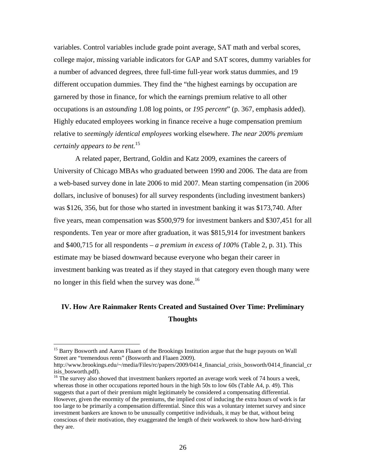variables. Control variables include grade point average, SAT math and verbal scores, college major, missing variable indicators for GAP and SAT scores, dummy variables for a number of advanced degrees, three full-time full-year work status dummies, and 19 different occupation dummies. They find the "the highest earnings by occupation are garnered by those in finance, for which the earnings premium relative to all other occupations is an *astounding* 1.08 log points, or *195 percent*" (p. 367, emphasis added). Highly educated employees working in finance receive a huge compensation premium relative to *seemingly identical employees* working elsewhere. *The near 200% premium certainly appears to be rent.*[15](#page-27-0) 

A related paper, Bertrand, Goldin and Katz 2009, examines the careers of University of Chicago MBAs who graduated between 1990 and 2006. The data are from a web-based survey done in late 2006 to mid 2007. Mean starting compensation (in 2006 dollars, inclusive of bonuses) for all survey respondents (including investment bankers) was \$126, 356, but for those who started in investment banking it was \$173,740. After five years, mean compensation was \$500,979 for investment bankers and \$307,451 for all respondents. Ten year or more after graduation, it was \$815,914 for investment bankers and \$400,715 for all respondents – *a premium in excess of 100%* (Table 2, p. 31). This estimate may be biased downward because everyone who began their career in investment banking was treated as if they stayed in that category even though many were no longer in this field when the survey was done.<sup>16</sup>

### **IV. How Are Rainmaker Rents Created and Sustained Over Time: Preliminary Thoughts**

 $\overline{a}$ 

<span id="page-27-0"></span><sup>&</sup>lt;sup>15</sup> Barry Bosworth and Aaron Flaaen of the Brookings Institution argue that the huge payouts on Wall Street are "tremendous rents" (Bosworth and Flaaen 2009).

http://www.brookings.edu/~/media/Files/rc/papers/2009/0414\_financial\_crisis\_bosworth/0414\_financial\_cr isis\_bosworth.pdf).<br><sup>16</sup> The survey also showed that investment bankers reported an average work week of 74 hours a week,

<span id="page-27-1"></span>whereas those in other occupations reported hours in the high 50s to low 60s (Table A4, p. 49). This suggests that a part of their premium might legitimately be considered a compensating differential. However, given the enormity of the premiums, the implied cost of inducing the extra hours of work is far too large to be primarily a compensation differential. Since this was a voluntary internet survey and since investment bankers are known to be unusually competitive individuals, it may be that, without being conscious of their motivation, they exaggerated the length of their workweek to show how hard-driving they are.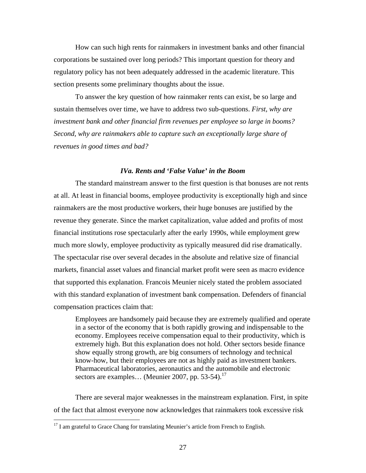How can such high rents for rainmakers in investment banks and other financial corporations be sustained over long periods? This important question for theory and regulatory policy has not been adequately addressed in the academic literature. This section presents some preliminary thoughts about the issue.

To answer the key question of how rainmaker rents can exist, be so large and sustain themselves over time, we have to address two sub-questions. *First, why are investment bank and other financial firm revenues per employee so large in booms? Second, why are rainmakers able to capture such an exceptionally large share of revenues in good times and bad?* 

#### *IVa. Rents and 'False Value' in the Boom*

The standard mainstream answer to the first question is that bonuses are not rents at all. At least in financial booms, employee productivity is exceptionally high and since rainmakers are the most productive workers, their huge bonuses are justified by the revenue they generate. Since the market capitalization, value added and profits of most financial institutions rose spectacularly after the early 1990s, while employment grew much more slowly, employee productivity as typically measured did rise dramatically. The spectacular rise over several decades in the absolute and relative size of financial markets, financial asset values and financial market profit were seen as macro evidence that supported this explanation. Francois Meunier nicely stated the problem associated with this standard explanation of investment bank compensation. Defenders of financial compensation practices claim that:

Employees are handsomely paid because they are extremely qualified and operate in a sector of the economy that is both rapidly growing and indispensable to the economy. Employees receive compensation equal to their productivity, which is extremely high. But this explanation does not hold. Other sectors beside finance show equally strong growth, are big consumers of technology and technical know-how, but their employees are not as highly paid as investment bankers. Pharmaceutical laboratories, aeronautics and the automobile and electronic sectors are examples... (Meunier 2007, pp. 53-54).<sup>17</sup>

There are several major weaknesses in the mainstream explanation. First, in spite of the fact that almost everyone now acknowledges that rainmakers took excessive risk

<u>.</u>

<span id="page-28-0"></span> $17$  I am grateful to Grace Chang for translating Meunier's article from French to English.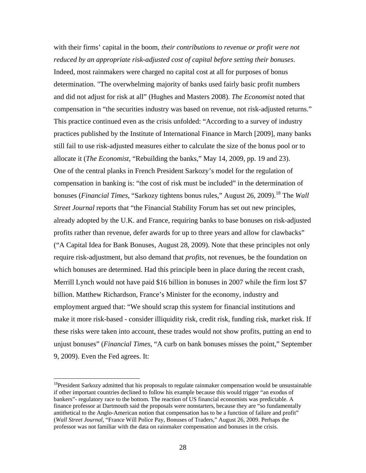with their firms' capital in the boom, *their contributions to revenue or profit were not reduced by an appropriate risk-adjusted cost of capital before setting their bonuses*. Indeed, most rainmakers were charged no capital cost at all for purposes of bonus determination. "The overwhelming majority of banks used fairly basic profit numbers and did not adjust for risk at all" (Hughes and Masters 2008). *The Economist* noted that compensation in "the securities industry was based on revenue, not risk-adjusted returns." This practice continued even as the crisis unfolded: "According to a survey of industry practices published by the Institute of International Finance in March [2009], many banks still fail to use risk-adjusted measures either to calculate the size of the bonus pool or to allocate it (*The Economist*, "Rebuilding the banks," May 14, 2009, pp. 19 and 23). One of the central planks in French President Sarkozy's model for the regulation of compensation in banking is: "the cost of risk must be included" in the determination of bonuses (*Financial Times*, "Sarkozy tightens bonus rules," August 26, 2009).<sup>18</sup> The *Wall Street Journal* reports that "the Financial Stability Forum has set out new principles, already adopted by the U.K. and France, requiring banks to base bonuses on risk-adjusted profits rather than revenue, defer awards for up to three years and allow for clawbacks" ("A Capital Idea for Bank Bonuses, August 28, 2009). Note that these principles not only require risk-adjustment, but also demand that *profits*, not revenues, be the foundation on which bonuses are determined. Had this principle been in place during the recent crash, Merrill Lynch would not have paid \$16 billion in bonuses in 2007 while the firm lost \$7 billion. Matthew Richardson, France's Minister for the economy, industry and employment argued that: "We should scrap this system for financial institutions and make it more risk-based - consider illiquidity risk, credit risk, funding risk, market risk. If these risks were taken into account, these trades would not show profits, putting an end to unjust bonuses" (*Financial Times*, "A curb on bank bonuses misses the point," September 9, 2009). Even the Fed agrees. It:

<u>.</u>

<span id="page-29-0"></span><sup>&</sup>lt;sup>18</sup>President Sarkozy admitted that his proposals to regulate rainmaker compensation would be unsustainable if other important countries declined to follow his example because this would trigger "an exodus of bankers"- regulatory race to the bottom. The reaction of US financial economists was predictable. A finance professor at Dartmouth said the proposals were nonstarters, because they are "so fundamentally antithetical to the Anglo-American notion that compensation has to be a function of failure and profit" (*Wall Street Journal*, "France Will Police Pay, Bonuses of Traders," August 26, 2009. Perhaps the professor was not familiar with the data on rainmaker compensation and bonuses in the crisis.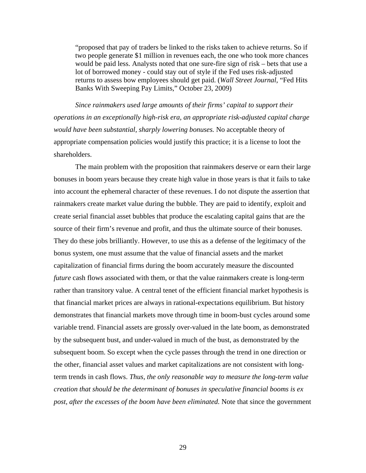"proposed that pay of traders be linked to the risks taken to achieve returns. So if two people generate \$1 million in revenues each, the one who took more chances would be paid less. Analysts noted that one sure-fire sign of risk – bets that use a lot of borrowed money - could stay out of style if the Fed uses risk-adjusted returns to assess bow employees should get paid. (*Wall Street Journal*, "Fed Hits Banks With Sweeping Pay Limits," October 23, 2009)

*Since rainmakers used large amounts of their firms' capital to support their operations in an exceptionally high-risk era, an appropriate risk-adjusted capital charge would have been substantial, sharply lowering bonuses.* No acceptable theory of appropriate compensation policies would justify this practice; it is a license to loot the shareholders.

The main problem with the proposition that rainmakers deserve or earn their large bonuses in boom years because they create high value in those years is that it fails to take into account the ephemeral character of these revenues. I do not dispute the assertion that rainmakers create market value during the bubble. They are paid to identify, exploit and create serial financial asset bubbles that produce the escalating capital gains that are the source of their firm's revenue and profit, and thus the ultimate source of their bonuses. They do these jobs brilliantly. However, to use this as a defense of the legitimacy of the bonus system, one must assume that the value of financial assets and the market capitalization of financial firms during the boom accurately measure the discounted *future* cash flows associated with them, or that the value rainmakers create is long-term rather than transitory value. A central tenet of the efficient financial market hypothesis is that financial market prices are always in rational-expectations equilibrium. But history demonstrates that financial markets move through time in boom-bust cycles around some variable trend. Financial assets are grossly over-valued in the late boom, as demonstrated by the subsequent bust, and under-valued in much of the bust, as demonstrated by the subsequent boom. So except when the cycle passes through the trend in one direction or the other, financial asset values and market capitalizations are not consistent with longterm trends in cash flows. *Thus, the only reasonable way to measure the long-term value creation that should be the determinant of bonuses in speculative financial booms is ex post, after the excesses of the boom have been eliminated.* Note that since the government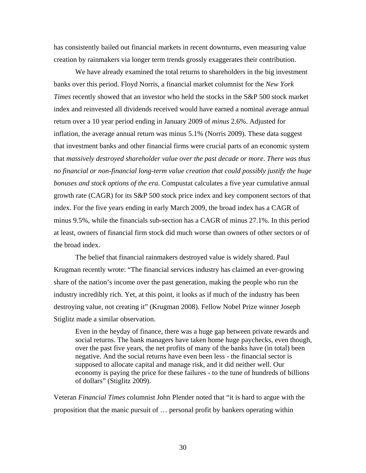has consistently bailed out financial markets in recent downturns, even measuring value creation by rainmakers via longer term trends grossly exaggerates their contribution.

We have already examined the total returns to shareholders in the big investment banks over this period. Floyd Norris, a financial market columnist for the *New York Times* recently showed that an investor who held the stocks in the S&P 500 stock market index and reinvested all dividends received would have earned a nominal average annual return over a 10 year period ending in January 2009 of *minus* 2.6%. Adjusted for inflation, the average annual return was minus 5.1% (Norris 2009). These data suggest that investment banks and other financial firms were crucial parts of an economic system that *massively destroyed shareholder value over the past decade or more*. *There was thus no financial or non-financial long-term value creation that could possibly justify the huge bonuses and stock options of the era.* Compustat calculates a five year cumulative annual growth rate (CAGR) for its S&P 500 stock price index and key component sectors of that index. For the five years ending in early March 2009, the broad index has a CAGR of minus 9.5%, while the financials sub-section has a CAGR of minus 27.1%. In this period at least, owners of financial firm stock did much worse than owners of other sectors or of the broad index.

The belief that financial rainmakers destroyed value is widely shared. Paul Krugman recently wrote: "The financial services industry has claimed an ever-growing share of the nation's income over the past generation, making the people who run the industry incredibly rich. Yet, at this point, it looks as if much of the industry has been destroying value, not creating it" (Krugman 2008). Fellow Nobel Prize winner Joseph Stiglitz made a similar observation.

Even in the heyday of finance, there was a huge gap between private rewards and social returns. The bank managers have taken home huge paychecks, even though, over the past five years, the net profits of many of the banks have (in total) been negative. And the social returns have even been less - the financial sector is supposed to allocate capital and manage risk, and it did neither well. Our economy is paying the price for these failures - to the tune of hundreds of billions of dollars" (Stiglitz 2009).

Veteran *Financial Times* columnist John Plender noted that "it is hard to argue with the proposition that the manic pursuit of … personal profit by bankers operating within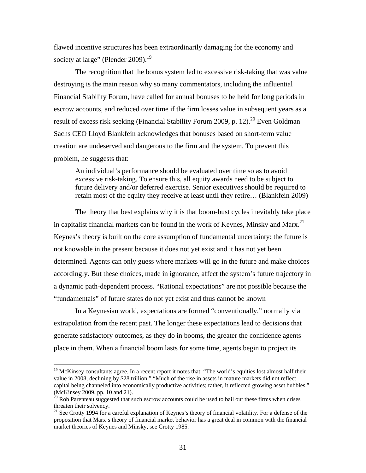flawed incentive structures has been extraordinarily damaging for the economy and society at large" (Plender  $2009$ ).<sup>19</sup>

The recognition that the bonus system led to excessive risk-taking that was value destroying is the main reason why so many commentators, including the influential Financial Stability Forum, have called for annual bonuses to be held for long periods in escrow accounts, and reduced over time if the firm losses value in subsequent years as a result of excess risk seeking (Financial Stability Forum 2009, p. 12).<sup>20</sup> Even Goldman Sachs CEO Lloyd Blankfein acknowledges that bonuses based on short-term value creation are undeserved and dangerous to the firm and the system. To prevent this problem, he suggests that:

An individual's performance should be evaluated over time so as to avoid excessive risk-taking. To ensure this, all equity awards need to be subject to future delivery and/or deferred exercise. Senior executives should be required to retain most of the equity they receive at least until they retire… (Blankfein 2009)

The theory that best explains why it is that boom-bust cycles inevitably take place in capitalist financial markets can be found in the work of Keynes, Minsky and Marx.<sup>[21](#page-32-2)</sup> Keynes's theory is built on the core assumption of fundamental uncertainty: the future is not knowable in the present because it does not yet exist and it has not yet been determined. Agents can only guess where markets will go in the future and make choices accordingly. But these choices, made in ignorance, affect the system's future trajectory in a dynamic path-dependent process. "Rational expectations" are not possible because the "fundamentals" of future states do not yet exist and thus cannot be known

In a Keynesian world, expectations are formed "conventionally," normally via extrapolation from the recent past. The longer these expectations lead to decisions that generate satisfactory outcomes, as they do in booms, the greater the confidence agents place in them. When a financial boom lasts for some time, agents begin to project its

<span id="page-32-0"></span><sup>&</sup>lt;sup>19</sup> McKinsey consultants agree. In a recent report it notes that: "The world's equities lost almost half their value in 2008, declining by \$28 trillion." "Much of the rise in assets in mature markets did not reflect capital being channeled into economically productive activities; rather, it reflected growing asset bubbles."

<span id="page-32-1"></span><sup>(</sup>McKinsey 2009, pp. 10 and 21).  $^{20}$  Rob Parenteau suggested that such escrow accounts could be used to bail out these firms when crises threaten their solvency.

<span id="page-32-2"></span> $21$  See Crotty 1994 for a careful explanation of Keynes's theory of financial volatility. For a defense of the proposition that Marx's theory of financial market behavior has a great deal in common with the financial market theories of Keynes and Minsky, see Crotty 1985.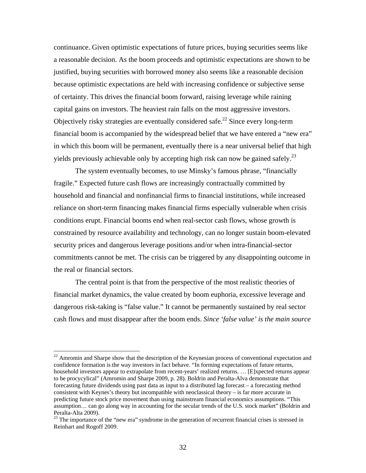continuance. Given optimistic expectations of future prices, buying securities seems like a reasonable decision. As the boom proceeds and optimistic expectations are shown to be justified, buying securities with borrowed money also seems like a reasonable decision because optimistic expectations are held with increasing confidence or subjective sense of certainty. This drives the financial boom forward, raising leverage while raining capital gains on investors. The heaviest rain falls on the most aggressive investors. Objectively risky strategies are eventually considered safe.<sup>22</sup> Since every long-term financial boom is accompanied by the widespread belief that we have entered a "new era" in which this boom will be permanent, eventually there is a near universal belief that high yields previously achievable only by accepting high risk can now be gained safely.<sup>[23](#page-33-1)</sup>

The system eventually becomes, to use Minsky's famous phrase, "financially fragile." Expected future cash flows are increasingly contractually committed by household and financial and nonfinancial firms to financial institutions, while increased reliance on short-term financing makes financial firms especially vulnerable when crisis conditions erupt. Financial booms end when real-sector cash flows, whose growth is constrained by resource availability and technology, can no longer sustain boom-elevated security prices and dangerous leverage positions and/or when intra-financial-sector commitments cannot be met. The crisis can be triggered by any disappointing outcome in the real or financial sectors.

The central point is that from the perspective of the most realistic theories of financial market dynamics, the value created by boom euphoria, excessive leverage and dangerous risk-taking is "false value." It cannot be permanently sustained by real sector cash flows and must disappear after the boom ends. *Since 'false value' is the main source* 

<span id="page-33-0"></span><sup>&</sup>lt;sup>22</sup> Amromin and Sharpe show that the description of the Keynesian process of conventional expectation and confidence formation is the way investors in fact behave. "In forming expectations of future returns, household investors appear to extrapolate from recent-years' realized returns. … [E]xpected returns appear to be procycylical" (Amromin and Sharpe 2009, p. 28). Boldrin and Peralta-Alva demonstrate that forecasting future dividends using past data as input to a distributed lag forecast – a forecasting method consistent with Keynes's theory but incompatible with neoclassical theory – is far more accurate in predicting future stock price movement than using mainstream financial economics assumptions. "This assumption… can go along way in accounting for the secular trends of the U.S. stock market" (Boldrin and

<span id="page-33-1"></span>Peralta-Alta 2009).<br><sup>23</sup> The importance of the "new era" syndrome in the generation of recurrent financial crises is stressed in Reinhart and Rogoff 2009.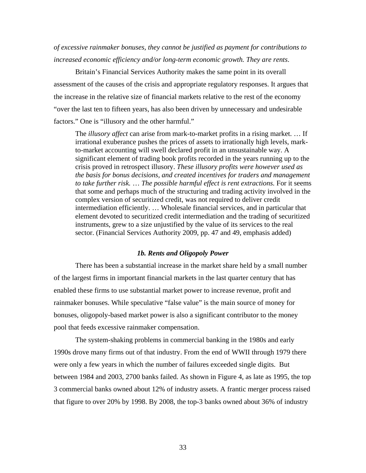### *of excessive rainmaker bonuses, they cannot be justified as payment for contributions to increased economic efficiency and/or long-term economic growth. They are rents*.

Britain's Financial Services Authority makes the same point in its overall assessment of the causes of the crisis and appropriate regulatory responses. It argues that the increase in the relative size of financial markets relative to the rest of the economy "over the last ten to fifteen years, has also been driven by unnecessary and undesirable factors." One is "illusory and the other harmful."

 The *illusory affect* can arise from mark-to-market profits in a rising market. … If irrational exuberance pushes the prices of assets to irrationally high levels, markto-market accounting will swell declared profit in an unsustainable way. A significant element of trading book profits recorded in the years running up to the crisis proved in retrospect illusory. *These illusory profits were however used as the basis for bonus decisions, and created incentives for traders and management to take further risk.* … *The possible harmful effect is rent extractions.* For it seems that some and perhaps much of the structuring and trading activity involved in the complex version of securitized credit, was not required to deliver credit intermediation efficiently. … Wholesale financial services, and in particular that element devoted to securitized credit intermediation and the trading of securitized instruments, grew to a size unjustified by the value of its services to the real sector. (Financial Services Authority 2009, pp. 47 and 49, emphasis added)

#### *1b. Rents and Oligopoly Power*

There has been a substantial increase in the market share held by a small number of the largest firms in important financial markets in the last quarter century that has enabled these firms to use substantial market power to increase revenue, profit and rainmaker bonuses. While speculative "false value" is the main source of money for bonuses, oligopoly-based market power is also a significant contributor to the money pool that feeds excessive rainmaker compensation.

The system-shaking problems in commercial banking in the 1980s and early 1990s drove many firms out of that industry. From the end of WWII through 1979 there were only a few years in which the number of failures exceeded single digits. But between 1984 and 2003, 2700 banks failed. As shown in Figure 4, as late as 1995, the top 3 commercial banks owned about 12% of industry assets. A frantic merger process raised that figure to over 20% by 1998. By 2008, the top-3 banks owned about 36% of industry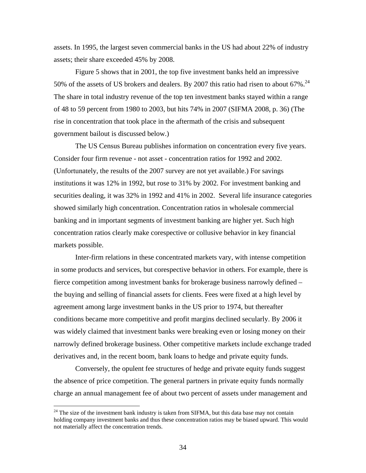assets. In 1995, the largest seven commercial banks in the US had about 22% of industry assets; their share exceeded 45% by 2008.

Figure 5 shows that in 2001, the top five investment banks held an impressive 50% of the assets of US brokers and dealers. By 2007 this ratio had risen to about  $67\%$ .<sup>[24](#page-35-0)</sup> The share in total industry revenue of the top ten investment banks stayed within a range of 48 to 59 percent from 1980 to 2003, but hits 74% in 2007 (SIFMA 2008, p. 36) (The rise in concentration that took place in the aftermath of the crisis and subsequent government bailout is discussed below.)

The US Census Bureau publishes information on concentration every five years. Consider four firm revenue - not asset - concentration ratios for 1992 and 2002. (Unfortunately, the results of the 2007 survey are not yet available.) For savings institutions it was 12% in 1992, but rose to 31% by 2002. For investment banking and securities dealing, it was 32% in 1992 and 41% in 2002. Several life insurance categories showed similarly high concentration. Concentration ratios in wholesale commercial banking and in important segments of investment banking are higher yet. Such high concentration ratios clearly make corespective or collusive behavior in key financial markets possible.

Inter-firm relations in these concentrated markets vary, with intense competition in some products and services, but corespective behavior in others. For example, there is fierce competition among investment banks for brokerage business narrowly defined – the buying and selling of financial assets for clients. Fees were fixed at a high level by agreement among large investment banks in the US prior to 1974, but thereafter conditions became more competitive and profit margins declined secularly. By 2006 it was widely claimed that investment banks were breaking even or losing money on their narrowly defined brokerage business. Other competitive markets include exchange traded derivatives and, in the recent boom, bank loans to hedge and private equity funds.

Conversely, the opulent fee structures of hedge and private equity funds suggest the absence of price competition. The general partners in private equity funds normally charge an annual management fee of about two percent of assets under management and

<span id="page-35-0"></span> $24$  The size of the investment bank industry is taken from SIFMA, but this data base may not contain holding company investment banks and thus these concentration ratios may be biased upward. This would not materially affect the concentration trends.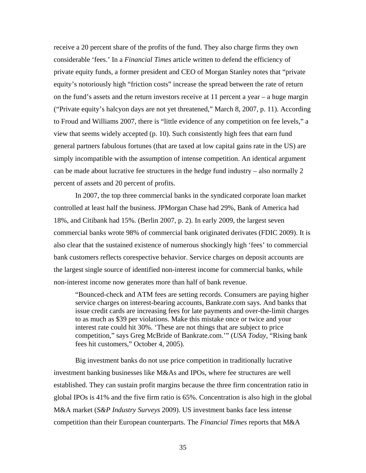receive a 20 percent share of the profits of the fund. They also charge firms they own considerable 'fees.' In a *Financial Times* article written to defend the efficiency of private equity funds, a former president and CEO of Morgan Stanley notes that "private equity's notoriously high "friction costs" increase the spread between the rate of return on the fund's assets and the return investors receive at 11 percent a year – a huge margin ("Private equity's halcyon days are not yet threatened," March 8, 2007, p. 11). According to Froud and Williams 2007, there is "little evidence of any competition on fee levels," a view that seems widely accepted (p. 10). Such consistently high fees that earn fund general partners fabulous fortunes (that are taxed at low capital gains rate in the US) are simply incompatible with the assumption of intense competition. An identical argument can be made about lucrative fee structures in the hedge fund industry – also normally 2 percent of assets and 20 percent of profits.

In 2007, the top three commercial banks in the syndicated corporate loan market controlled at least half the business. JPMorgan Chase had 29%, Bank of America had 18%, and Citibank had 15%. (Berlin 2007, p. 2). In early 2009, the largest seven commercial banks wrote 98% of commercial bank originated derivates (FDIC 2009). It is also clear that the sustained existence of numerous shockingly high 'fees' to commercial bank customers reflects corespective behavior. Service charges on deposit accounts are the largest single source of identified non-interest income for commercial banks, while non-interest income now generates more than half of bank revenue.

"Bounced-check and ATM fees are setting records. Consumers are paying higher service charges on interest-bearing accounts, Bankrate.com says. And banks that issue credit cards are increasing fees for late payments and over-the-limit charges to as much as \$39 per violations. Make this mistake once or twice and your interest rate could hit 30%. 'These are not things that are subject to price competition," says Greg McBride of Bankrate.com.'" (*USA Today*, "Rising bank fees hit customers," October 4, 2005).

Big investment banks do not use price competition in traditionally lucrative investment banking businesses like M&As and IPOs, where fee structures are well established. They can sustain profit margins because the three firm concentration ratio in global IPOs is 41% and the five firm ratio is 65%. Concentration is also high in the global M&A market (*S&P Industry Surveys* 2009). US investment banks face less intense competition than their European counterparts. The *Financial Times* reports that M&A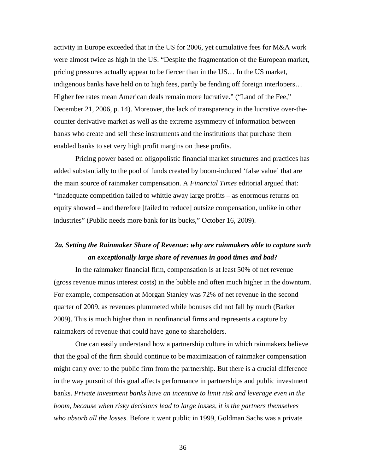activity in Europe exceeded that in the US for 2006, yet cumulative fees for M&A work were almost twice as high in the US. "Despite the fragmentation of the European market, pricing pressures actually appear to be fiercer than in the US… In the US market, indigenous banks have held on to high fees, partly be fending off foreign interlopers… Higher fee rates mean American deals remain more lucrative." ("Land of the Fee," December 21, 2006, p. 14). Moreover, the lack of transparency in the lucrative over-thecounter derivative market as well as the extreme asymmetry of information between banks who create and sell these instruments and the institutions that purchase them enabled banks to set very high profit margins on these profits.

Pricing power based on oligopolistic financial market structures and practices has added substantially to the pool of funds created by boom-induced 'false value' that are the main source of rainmaker compensation. A *Financial Times* editorial argued that: "inadequate competition failed to whittle away large profits – as enormous returns on equity showed – and therefore [failed to reduce] outsize compensation, unlike in other industries" (Public needs more bank for its bucks," October 16, 2009).

## *2a. Setting the Rainmaker Share of Revenue: why are rainmakers able to capture such an exceptionally large share of revenues in good times and bad?*

In the rainmaker financial firm, compensation is at least 50% of net revenue (gross revenue minus interest costs) in the bubble and often much higher in the downturn. For example, compensation at Morgan Stanley was 72% of net revenue in the second quarter of 2009, as revenues plummeted while bonuses did not fall by much (Barker 2009). This is much higher than in nonfinancial firms and represents a capture by rainmakers of revenue that could have gone to shareholders.

One can easily understand how a partnership culture in which rainmakers believe that the goal of the firm should continue to be maximization of rainmaker compensation might carry over to the public firm from the partnership. But there is a crucial difference in the way pursuit of this goal affects performance in partnerships and public investment banks. *Private investment banks have an incentive to limit risk and leverage even in the boom, because when risky decisions lead to large losses, it is the partners themselves who absorb all the losses.* Before it went public in 1999, Goldman Sachs was a private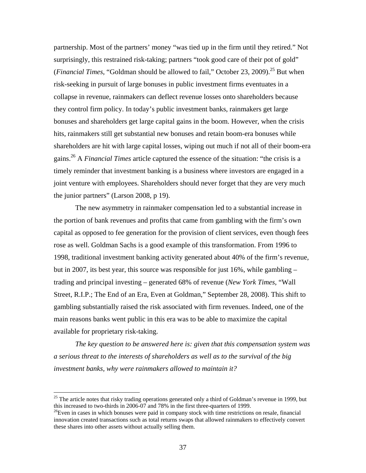partnership. Most of the partners' money "was tied up in the firm until they retired." Not surprisingly, this restrained risk-taking; partners "took good care of their pot of gold" (*Financial Times*, "Goldman should be allowed to fail," October 23, 2009).<sup>25</sup> But when risk-seeking in pursuit of large bonuses in public investment firms eventuates in a collapse in revenue, rainmakers can deflect revenue losses onto shareholders because they control firm policy. In today's public investment banks, rainmakers get large bonuses and shareholders get large capital gains in the boom. However, when the crisis hits, rainmakers still get substantial new bonuses and retain boom-era bonuses while shareholders are hit with large capital losses, wiping out much if not all of their boom-era gains.[26 A](#page-38-1) *Financial Times* article captured the essence of the situation: "the crisis is a timely reminder that investment banking is a business where investors are engaged in a joint venture with employees. Shareholders should never forget that they are very much the junior partners" (Larson 2008, p 19).

The new asymmetry in rainmaker compensation led to a substantial increase in the portion of bank revenues and profits that came from gambling with the firm's own capital as opposed to fee generation for the provision of client services, even though fees rose as well. Goldman Sachs is a good example of this transformation. From 1996 to 1998, traditional investment banking activity generated about 40% of the firm's revenue, but in 2007, its best year, this source was responsible for just  $16\%$ , while gambling – trading and principal investing – generated 68% of revenue (*New York Times*, "Wall Street, R.I.P.; The End of an Era, Even at Goldman," September 28, 2008). This shift to gambling substantially raised the risk associated with firm revenues. Indeed, one of the main reasons banks went public in this era was to be able to maximize the capital available for proprietary risk-taking.

*The key question to be answered here is: given that this compensation system was a serious threat to the interests of shareholders as well as to the survival of the big investment banks, why were rainmakers allowed to maintain it?*

 $\overline{a}$ 

<span id="page-38-0"></span> $25$  The article notes that risky trading operations generated only a third of Goldman's revenue in 1999, but this increased to two-thirds in 2006-07 and 78% in the first three-quarters of 1999.<br><sup>26</sup>Even in cases in which bonuses were paid in company stock with time restrictions on resale, financial

<span id="page-38-1"></span>innovation created transactions such as total returns swaps that allowed rainmakers to effectively convert these shares into other assets without actually selling them.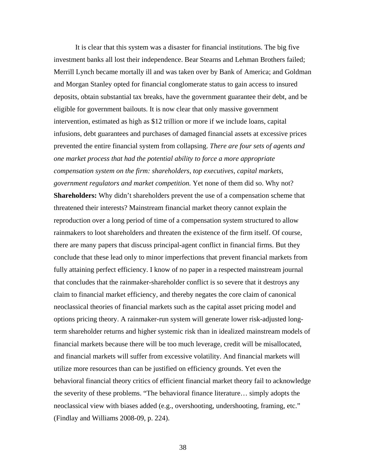It is clear that this system was a disaster for financial institutions. The big five investment banks all lost their independence. Bear Stearns and Lehman Brothers failed; Merrill Lynch became mortally ill and was taken over by Bank of America; and Goldman and Morgan Stanley opted for financial conglomerate status to gain access to insured deposits, obtain substantial tax breaks, have the government guarantee their debt, and be eligible for government bailouts. It is now clear that only massive government intervention, estimated as high as \$12 trillion or more if we include loans, capital infusions, debt guarantees and purchases of damaged financial assets at excessive prices prevented the entire financial system from collapsing. *There are four sets of agents and one market process that had the potential ability to force a more appropriate compensation system on the firm: shareholders, top executives, capital markets, government regulators and market competition.* Yet none of them did so. Why not? **Shareholders:** Why didn't shareholders prevent the use of a compensation scheme that threatened their interests? Mainstream financial market theory cannot explain the reproduction over a long period of time of a compensation system structured to allow rainmakers to loot shareholders and threaten the existence of the firm itself. Of course, there are many papers that discuss principal-agent conflict in financial firms. But they conclude that these lead only to minor imperfections that prevent financial markets from fully attaining perfect efficiency. I know of no paper in a respected mainstream journal that concludes that the rainmaker-shareholder conflict is so severe that it destroys any claim to financial market efficiency, and thereby negates the core claim of canonical neoclassical theories of financial markets such as the capital asset pricing model and options pricing theory. A rainmaker-run system will generate lower risk-adjusted longterm shareholder returns and higher systemic risk than in idealized mainstream models of financial markets because there will be too much leverage, credit will be misallocated, and financial markets will suffer from excessive volatility. And financial markets will utilize more resources than can be justified on efficiency grounds. Yet even the behavioral financial theory critics of efficient financial market theory fail to acknowledge the severity of these problems. "The behavioral finance literature… simply adopts the neoclassical view with biases added (e.g., overshooting, undershooting, framing, etc." (Findlay and Williams 2008-09, p. 224).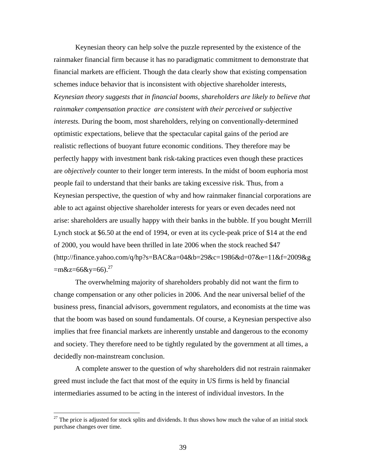Keynesian theory can help solve the puzzle represented by the existence of the rainmaker financial firm because it has no paradigmatic commitment to demonstrate that financial markets are efficient. Though the data clearly show that existing compensation schemes induce behavior that is inconsistent with objective shareholder interests, *Keynesian theory suggests that in financial booms, shareholders are likely to believe that rainmaker compensation practice are consistent with their perceived or subjective interests.* During the boom, most shareholders, relying on conventionally-determined optimistic expectations, believe that the spectacular capital gains of the period are realistic reflections of buoyant future economic conditions. They therefore may be perfectly happy with investment bank risk-taking practices even though these practices are *objectively* counter to their longer term interests. In the midst of boom euphoria most people fail to understand that their banks are taking excessive risk. Thus, from a Keynesian perspective, the question of why and how rainmaker financial corporations are able to act against objective shareholder interests for years or even decades need not arise: shareholders are usually happy with their banks in the bubble. If you bought Merrill Lynch stock at \$6.50 at the end of 1994, or even at its cycle-peak price of \$14 at the end of 2000, you would have been thrilled in late 2006 when the stock reached \$47 (http://finance.yahoo.com/q/hp?s=BAC&a=04&b=29&c=1986&d=07&e=11&f=2009&g  $=$ m&z=66&y=66).<sup>27</sup>

The overwhelming majority of shareholders probably did not want the firm to change compensation or any other policies in 2006. And the near universal belief of the business press, financial advisors, government regulators, and economists at the time was that the boom was based on sound fundamentals. Of course, a Keynesian perspective also implies that free financial markets are inherently unstable and dangerous to the economy and society. They therefore need to be tightly regulated by the government at all times, a decidedly non-mainstream conclusion.

A complete answer to the question of why shareholders did not restrain rainmaker greed must include the fact that most of the equity in US firms is held by financial intermediaries assumed to be acting in the interest of individual investors. In the

<span id="page-40-0"></span> $27$  The price is adjusted for stock splits and dividends. It thus shows how much the value of an initial stock purchase changes over time.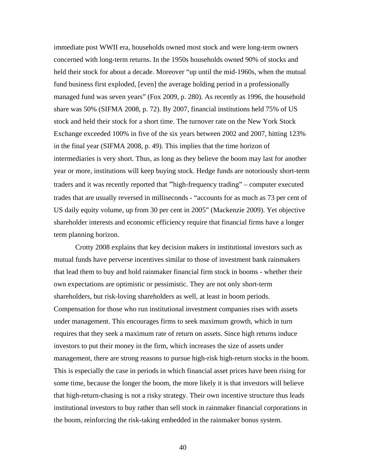immediate post WWII era, households owned most stock and were long-term owners concerned with long-term returns. In the 1950s households owned 90% of stocks and held their stock for about a decade. Moreover "up until the mid-1960s, when the mutual fund business first exploded, [even] the average holding period in a professionally managed fund was seven years" (Fox 2009, p. 280). As recently as 1996, the household share was 50% (SIFMA 2008, p. 72). By 2007, financial institutions held 75% of US stock and held their stock for a short time. The turnover rate on the New York Stock Exchange exceeded 100% in five of the six years between 2002 and 2007, hitting 123% in the final year (SIFMA 2008, p. 49). This implies that the time horizon of intermediaries is very short. Thus, as long as they believe the boom may last for another year or more, institutions will keep buying stock. Hedge funds are notoriously short-term traders and it was recently reported that "high-frequency trading" – computer executed trades that are usually reversed in milliseconds - "accounts for as much as 73 per cent of US daily equity volume, up from 30 per cent in 2005" (Mackenzie 2009). Yet objective shareholder interests and economic efficiency require that financial firms have a longer term planning horizon.

Crotty 2008 explains that key decision makers in institutional investors such as mutual funds have perverse incentives similar to those of investment bank rainmakers that lead them to buy and hold rainmaker financial firm stock in booms - whether their own expectations are optimistic or pessimistic. They are not only short-term shareholders, but risk-loving shareholders as well, at least in boom periods. Compensation for those who run institutional investment companies rises with assets under management. This encourages firms to seek maximum growth, which in turn requires that they seek a maximum rate of return on assets. Since high returns induce investors to put their money in the firm, which increases the size of assets under management, there are strong reasons to pursue high-risk high-return stocks in the boom. This is especially the case in periods in which financial asset prices have been rising for some time, because the longer the boom, the more likely it is that investors will believe that high-return-chasing is not a risky strategy. Their own incentive structure thus leads institutional investors to buy rather than sell stock in rainmaker financial corporations in the boom, reinforcing the risk-taking embedded in the rainmaker bonus system.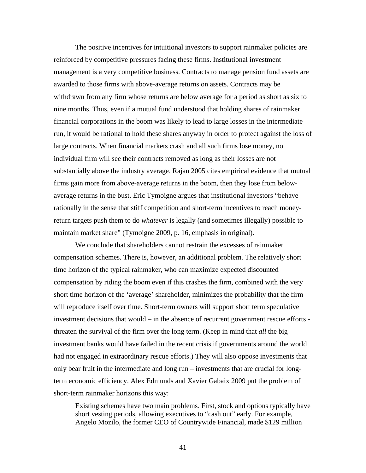The positive incentives for intuitional investors to support rainmaker policies are reinforced by competitive pressures facing these firms. Institutional investment management is a very competitive business. Contracts to manage pension fund assets are awarded to those firms with above-average returns on assets. Contracts may be withdrawn from any firm whose returns are below average for a period as short as six to nine months. Thus, even if a mutual fund understood that holding shares of rainmaker financial corporations in the boom was likely to lead to large losses in the intermediate run, it would be rational to hold these shares anyway in order to protect against the loss of large contracts. When financial markets crash and all such firms lose money, no individual firm will see their contracts removed as long as their losses are not substantially above the industry average. Rajan 2005 cites empirical evidence that mutual firms gain more from above-average returns in the boom, then they lose from belowaverage returns in the bust. Eric Tymoigne argues that institutional investors "behave rationally in the sense that stiff competition and short-term incentives to reach moneyreturn targets push them to do *whatever* is legally (and sometimes illegally) possible to maintain market share" (Tymoigne 2009, p. 16, emphasis in original).

We conclude that shareholders cannot restrain the excesses of rainmaker compensation schemes. There is, however, an additional problem. The relatively short time horizon of the typical rainmaker, who can maximize expected discounted compensation by riding the boom even if this crashes the firm, combined with the very short time horizon of the 'average' shareholder, minimizes the probability that the firm will reproduce itself over time. Short-term owners will support short term speculative investment decisions that would – in the absence of recurrent government rescue efforts threaten the survival of the firm over the long term. (Keep in mind that *all* the big investment banks would have failed in the recent crisis if governments around the world had not engaged in extraordinary rescue efforts.) They will also oppose investments that only bear fruit in the intermediate and long run – investments that are crucial for longterm economic efficiency. Alex Edmunds and Xavier Gabaix 2009 put the problem of short-term rainmaker horizons this way:

Existing schemes have two main problems. First, stock and options typically have short vesting periods, allowing executives to "cash out" early. For example, Angelo Mozilo, the former CEO of Countrywide Financial, made \$129 million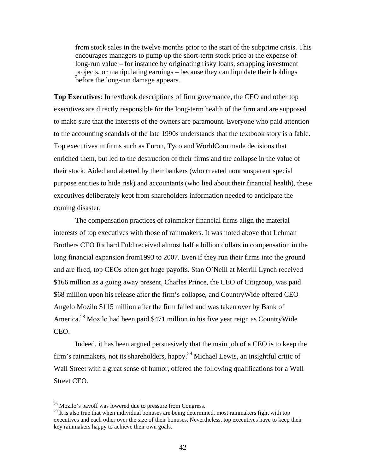from stock sales in the twelve months prior to the start of the subprime crisis. This encourages managers to pump up the short-term stock price at the expense of long-run value – for instance by originating risky loans, scrapping investment projects, or manipulating earnings – because they can liquidate their holdings before the long-run damage appears.

**Top Executives**: In textbook descriptions of firm governance, the CEO and other top executives are directly responsible for the long-term health of the firm and are supposed to make sure that the interests of the owners are paramount. Everyone who paid attention to the accounting scandals of the late 1990s understands that the textbook story is a fable. Top executives in firms such as Enron, Tyco and WorldCom made decisions that enriched them, but led to the destruction of their firms and the collapse in the value of their stock. Aided and abetted by their bankers (who created nontransparent special purpose entities to hide risk) and accountants (who lied about their financial health), these executives deliberately kept from shareholders information needed to anticipate the coming disaster.

The compensation practices of rainmaker financial firms align the material interests of top executives with those of rainmakers. It was noted above that Lehman Brothers CEO Richard Fuld received almost half a billion dollars in compensation in the long financial expansion from1993 to 2007. Even if they run their firms into the ground and are fired, top CEOs often get huge payoffs. Stan O'Neill at Merrill Lynch received \$166 million as a going away present, Charles Prince, the CEO of Citigroup, was paid \$68 million upon his release after the firm's collapse, and CountryWide offered CEO Angelo Mozilo \$115 million after the firm failed and was taken over by Bank of America[.28](#page-43-0) Mozilo had been paid \$471 million in his five year reign as CountryWide CEO.

Indeed, it has been argued persuasively that the main job of a CEO is to keep the firm's rainmakers, not its shareholders, happy.<sup>29</sup> Michael Lewis, an insightful critic of Wall Street with a great sense of humor, offered the following qualifications for a Wall Street CEO.

<u>.</u>

<span id="page-43-0"></span> $^{28}$  Mozilo's payoff was lowered due to pressure from Congress.

<span id="page-43-1"></span><sup>&</sup>lt;sup>29</sup> It is also true that when individual bonuses are being determined, most rainmakers fight with top executives and each other over the size of their bonuses. Nevertheless, top executives have to keep their key rainmakers happy to achieve their own goals.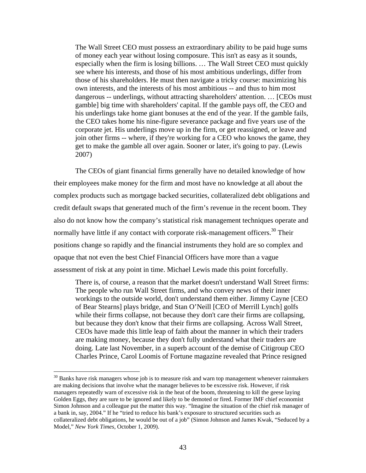The Wall Street CEO must possess an extraordinary ability to be paid huge sums of money each year without losing composure. This isn't as easy as it sounds, especially when the firm is losing billions. … The Wall Street CEO must quickly see where his interests, and those of his most ambitious underlings, differ from those of his shareholders. He must then navigate a tricky course: maximizing his own interests, and the interests of his most ambitious -- and thus to him most dangerous -- underlings, without attracting shareholders' attention. … [CEOs must gamble] big time with shareholders' capital. If the gamble pays off, the CEO and his underlings take home giant bonuses at the end of the year. If the gamble fails, the CEO takes home his nine-figure severance package and five years use of the corporate jet. His underlings move up in the firm, or get reassigned, or leave and join other firms -- where, if they're working for a CEO who knows the game, they get to make the gamble all over again. Sooner or later, it's going to pay. (Lewis 2007)

The CEOs of giant financial firms generally have no detailed knowledge of how their employees make money for the firm and most have no knowledge at all about the complex products such as mortgage backed securities, collateralized debt obligations and credit default swaps that generated much of the firm's revenue in the recent boom. They also do not know how the company's statistical risk management techniques operate and normally have little if any contact with corporate risk-management officers.<sup>30</sup> Their positions change so rapidly and the financial instruments they hold are so complex and opaque that not even the best Chief Financial Officers have more than a vague assessment of risk at any point in time. Michael Lewis made this point forcefully.

There is, of course, a reason that the market doesn't understand Wall Street firms: The people who run Wall Street firms, and who convey news of their inner workings to the outside world, don't understand them either. Jimmy Cayne [CEO of Bear Stearns] plays bridge, and Stan O'Neill [CEO of Merrill Lynch] golfs while their firms collapse, not because they don't care their firms are collapsing, but because they don't know that their firms are collapsing. Across Wall Street, CEOs have made this little leap of faith about the manner in which their traders are making money, because they don't fully understand what their traders are doing. Late last November, in a superb account of the demise of Citigroup CEO Charles Prince, Carol Loomis of Fortune magazine revealed that Prince resigned

<span id="page-44-0"></span> $30$  Banks have risk managers whose job is to measure risk and warn top management whenever rainmakers are making decisions that involve what the manager believes to be excessive risk. However, if risk managers repeatedly warn of excessive risk in the heat of the boom, threatening to kill the geese laying Golden Eggs, they are sure to be ignored and likely to be demoted or fired. Former IMF chief economist Simon Johnson and a colleague put the matter this way. "Imagine the situation of the chief risk manager of a bank in, say, 2004." If he "tried to reduce his bank's exposure to structured securities such as collateralized debt obligations, he would be out of a job" (Simon Johnson and James Kwak, "Seduced by a Model," *New York Times*, October 1, 2009).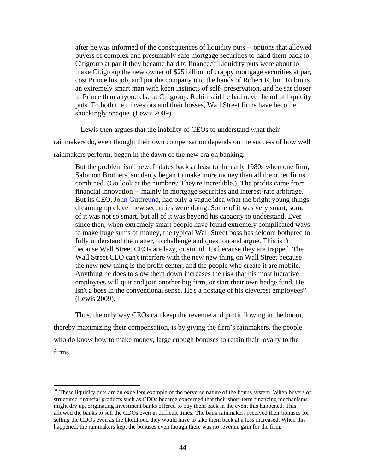after he was informed of the consequences of liquidity puts -- options that allowed buyers of complex and presumably safe mortgage securities to hand them back to Citigroup at par if they became hard to finance.<sup>31</sup> Liquidity puts were about to make Citigroup the new owner of \$25 billion of crappy mortgage securities at par, cost Prince his job, and put the company into the hands of Robert Rubin. Rubin is an extremely smart man with keen instincts of self- preservation, and he sat closer to Prince than anyone else at Citigroup. Rubin said he had never heard of liquidity puts. To both their investors and their bosses, Wall Street firms have become shockingly opaque. (Lewis 2009)

Lewis then argues that the inability of CEOs to understand what their

rainmakers do, even thought their own compensation depends on the success of how well rainmakers perform, began in the dawn of the new era on banking.

But the problem isn't new. It dates back at least to the early 1980s when one firm, Salomon Brothers, suddenly began to make more money than all the other firms combined. (Go look at the numbers: They're incredible.) The profits came from financial innovation -- mainly in mortgage securities and interest-rate arbitrage. But its CEO, [John Gutfreund,](http://search.bloomberg.com/search?q=John+Gutfreund&site=wnews&client=wnews&proxystylesheet=wnews&output=xml_no_dtd&ie=UTF-8&oe=UTF-8&filter=p&getfields=wnnis&sort=date:D:S:d1) had only a vague idea what the bright young things dreaming up clever new securities were doing. Some of it was very smart, some of it was not so smart, but all of it was beyond his capacity to understand. Ever since then, when extremely smart people have found extremely complicated ways to make huge sums of money, the typical Wall Street boss has seldom bothered to fully understand the matter, to challenge and question and argue. This isn't because Wall Street CEOs are lazy, or stupid. It's because they are trapped. The Wall Street CEO can't interfere with the new new thing on Wall Street because the new new thing is the profit center, and the people who create it are mobile. Anything he does to slow them down increases the risk that his most lucrative employees will quit and join another big firm, or start their own hedge fund. He isn't a boss in the conventional sense. He's a hostage of his cleverest employees" (Lewis 2009).

Thus, the only way CEOs can keep the revenue and profit flowing in the boom, thereby maximizing their compensation, is by giving the firm's rainmakers, the people who do know how to make money, large enough bonuses to retain their loyalty to the firms.

 $\overline{a}$ 

<span id="page-45-0"></span><sup>&</sup>lt;sup>31</sup> These liquidity puts are an excellent example of the perverse nature of the bonus system. When buyers of structured financial products such as CDOs became concerned that their short-term financing mechanisms might dry up, originating investment banks offered to buy them back in the event this happened. This allowed the banks to sell the CDOs even in difficult times. The bank rainmakers received their bonuses for selling the CDOs even as the likelihood they would have to take them back at a loss increased. When this happened, the rainmakers kept the bonuses even though there was no revenue gain for the firm.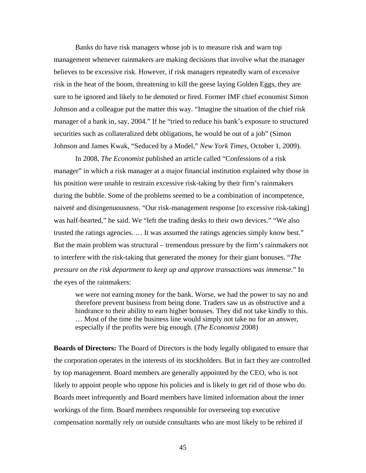Banks do have risk managers whose job is to measure risk and warn top management whenever rainmakers are making decisions that involve what the manager believes to be excessive risk. However, if risk managers repeatedly warn of excessive risk in the heat of the boom, threatening to kill the geese laying Golden Eggs, they are sure to be ignored and likely to be demoted or fired. Former IMF chief economist Simon Johnson and a colleague put the matter this way. "Imagine the situation of the chief risk manager of a bank in, say, 2004." If he "tried to reduce his bank's exposure to structured securities such as collateralized debt obligations, he would be out of a job" (Simon Johnson and James Kwak, "Seduced by a Model," *New York Times*, October 1, 2009).

In 2008, *The Economist* published an article called "Confessions of a risk manager" in which a risk manager at a major financial institution explained why those in his position were unable to restrain excessive risk-taking by their firm's rainmakers during the bubble. Some of the problems seemed to be a combination of incompetence, naiveté and disingenuousness. "Our risk-management response [to excessive risk-taking] was half-hearted," he said. We "left the trading desks to their own devices." "We also trusted the ratings agencies. … It was assumed the ratings agencies simply know best." But the main problem was structural – tremendous pressure by the firm's rainmakers not to interfere with the risk-taking that generated the money for their giant bonuses. "*The pressure on the risk department to keep up and approve transactions was immense.*" In the eyes of the rainmakers:

we were not earning money for the bank. Worse, we had the power to say no and therefore prevent business from being done. Traders saw us as obstructive and a hindrance to their ability to earn higher bonuses. They did not take kindly to this. … Most of the time the business line would simply not take no for an answer, especially if the profits were big enough. (*The Economist* 2008)

**Boards of Directors:** The Board of Directors is the body legally obligated to ensure that the corporation operates in the interests of its stockholders. But in fact they are controlled by top management. Board members are generally appointed by the CEO, who is not likely to appoint people who oppose his policies and is likely to get rid of those who do. Boards meet infrequently and Board members have limited information about the inner workings of the firm. Board members responsible for overseeing top executive compensation normally rely on outside consultants who are most likely to be rehired if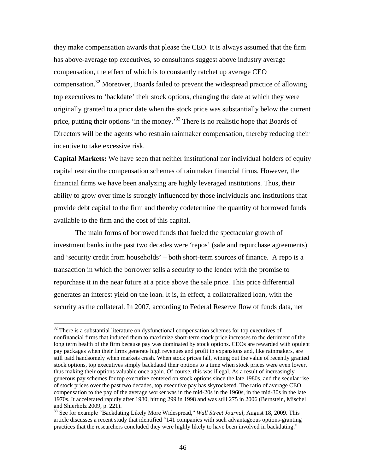they make compensation awards that please the CEO. It is always assumed that the firm has above-average top executives, so consultants suggest above industry average compensation, the effect of which is to constantly ratchet up average CEO compensation.<sup>32</sup> Moreover, Boards failed to prevent the widespread practice of allowing top executives to 'backdate' their stock options, changing the date at which they were originally granted to a prior date when the stock price was substantially below the current price, putting their options 'in the money.<sup>33</sup> There is no realistic hope that Boards of Directors will be the agents who restrain rainmaker compensation, thereby reducing their incentive to take excessive risk.

**Capital Markets:** We have seen that neither institutional nor individual holders of equity capital restrain the compensation schemes of rainmaker financial firms. However, the financial firms we have been analyzing are highly leveraged institutions. Thus, their ability to grow over time is strongly influenced by those individuals and institutions that provide debt capital to the firm and thereby codetermine the quantity of borrowed funds available to the firm and the cost of this capital.

The main forms of borrowed funds that fueled the spectacular growth of investment banks in the past two decades were 'repos' (sale and repurchase agreements) and 'security credit from households' – both short-term sources of finance. A repo is a transaction in which the borrower sells a security to the lender with the promise to repurchase it in the near future at a price above the sale price. This price differential generates an interest yield on the loan. It is, in effect, a collateralized loan, with the security as the collateral. In 2007, according to Federal Reserve flow of funds data, net

 $\overline{a}$ 

<span id="page-47-0"></span> $32$  There is a substantial literature on dysfunctional compensation schemes for top executives of nonfinancial firms that induced them to maximize short-term stock price increases to the detriment of the long term health of the firm because pay was dominated by stock options. CEOs are rewarded with opulent pay packages when their firms generate high revenues and profit in expansions and, like rainmakers, are still paid handsomely when markets crash. When stock prices fall, wiping out the value of recently granted stock options, top executives simply backdated their options to a time when stock prices were even lower, thus making their options valuable once again. Of course, this was illegal. As a result of increasingly generous pay schemes for top executive centered on stock options since the late 1980s, and the secular rise of stock prices over the past two decades, top executive pay has skyrocketed. The ratio of average CEO compensation to the pay of the average worker was in the mid-20s in the 1960s, in the mid-30s in the late 1970s. It accelerated rapidly after 1980, hitting 299 in 1998 and was still 275 in 2006 (Bernstein, Mischel

<span id="page-47-1"></span>and Shierholz 2009, p. 221). 33 See for example "Backdating Likely More Widespread," *Wall Street Journal,* August 18, 2009. This article discusses a recent study that identified "141 companies with such advantageous options-granting practices that the researchers concluded they were highly likely to have been involved in backdating."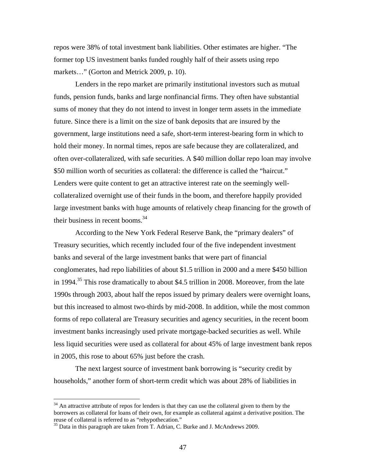repos were 38% of total investment bank liabilities. Other estimates are higher. "The former top US investment banks funded roughly half of their assets using repo markets…" (Gorton and Metrick 2009, p. 10).

Lenders in the repo market are primarily institutional investors such as mutual funds, pension funds, banks and large nonfinancial firms. They often have substantial sums of money that they do not intend to invest in longer term assets in the immediate future. Since there is a limit on the size of bank deposits that are insured by the government, large institutions need a safe, short-term interest-bearing form in which to hold their money. In normal times, repos are safe because they are collateralized, and often over-collateralized, with safe securities. A \$40 million dollar repo loan may involve \$50 million worth of securities as collateral: the difference is called the "haircut." Lenders were quite content to get an attractive interest rate on the seemingly wellcollateralized overnight use of their funds in the boom, and therefore happily provided large investment banks with huge amounts of relatively cheap financing for the growth of their business in recent booms. $34$ 

According to the New York Federal Reserve Bank, the "primary dealers" of Treasury securities, which recently included four of the five independent investment banks and several of the large investment banks that were part of financial conglomerates, had repo liabilities of about \$1.5 trillion in 2000 and a mere \$450 billion in 1994.<sup>35</sup> This rose dramatically to about \$4.5 trillion in 2008. Moreover, from the late 1990s through 2003, about half the repos issued by primary dealers were overnight loans, but this increased to almost two-thirds by mid-2008. In addition, while the most common forms of repo collateral are Treasury securities and agency securities, in the recent boom investment banks increasingly used private mortgage-backed securities as well. While less liquid securities were used as collateral for about 45% of large investment bank repos in 2005, this rose to about 65% just before the crash.

The next largest source of investment bank borrowing is "security credit by households," another form of short-term credit which was about 28% of liabilities in

<u>.</u>

<span id="page-48-0"></span> $34$  An attractive attribute of repos for lenders is that they can use the collateral given to them by the borrowers as collateral for loans of their own, for example as collateral against a derivative position. The reuse of collateral is referred to as "rehypothecation." 35 Data in this paragraph are taken from T. Adrian, C. Burke and J. McAndrews 2009.

<span id="page-48-1"></span>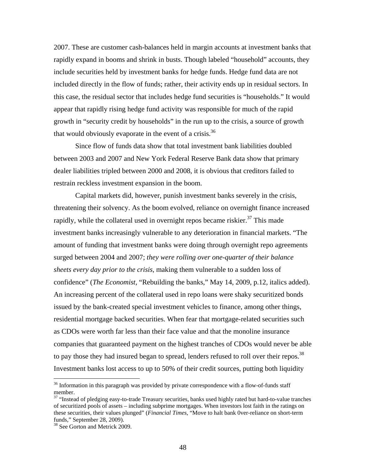2007. These are customer cash-balances held in margin accounts at investment banks that rapidly expand in booms and shrink in busts. Though labeled "household" accounts, they include securities held by investment banks for hedge funds. Hedge fund data are not included directly in the flow of funds; rather, their activity ends up in residual sectors. In this case, the residual sector that includes hedge fund securities is "households." It would appear that rapidly rising hedge fund activity was responsible for much of the rapid growth in "security credit by households" in the run up to the crisis, a source of growth that would obviously evaporate in the event of a crisis.<sup>[36](#page-49-0)</sup>

Since flow of funds data show that total investment bank liabilities doubled between 2003 and 2007 and New York Federal Reserve Bank data show that primary dealer liabilities tripled between 2000 and 2008, it is obvious that creditors failed to restrain reckless investment expansion in the boom.

Capital markets did, however, punish investment banks severely in the crisis, threatening their solvency. As the boom evolved, reliance on overnight finance increased rapidly, while the collateral used in overnight repos became riskier. $37$  This made investment banks increasingly vulnerable to any deterioration in financial markets. "The amount of funding that investment banks were doing through overnight repo agreements surged between 2004 and 2007; *they were rolling over one-quarter of their balance sheets every day prior to the crisis*, making them vulnerable to a sudden loss of confidence" (*The Economist*, "Rebuilding the banks," May 14, 2009, p.12, italics added). An increasing percent of the collateral used in repo loans were shaky securitized bonds issued by the bank-created special investment vehicles to finance, among other things, residential mortgage backed securities. When fear that mortgage-related securities such as CDOs were worth far less than their face value and that the monoline insurance companies that guaranteed payment on the highest tranches of CDOs would never be able to pay those they had insured began to spread, lenders refused to roll over their repos.<sup>[38](#page-49-2)</sup> Investment banks lost access to up to 50% of their credit sources, putting both liquidity

<u>.</u>

<span id="page-49-0"></span><sup>&</sup>lt;sup>36</sup> Information in this paragraph was provided by private correspondence with a flow-of-funds staff member.

<span id="page-49-1"></span> $37$  "Instead of pledging easy-to-trade Treasury securities, banks used highly rated but hard-to-value tranches of securitized pools of assets – including subprime mortgages. When investors lost faith in the ratings on these securities, their values plunged" (*Financial Times*, "Move to halt bank 0ver-reliance on short-term funds," September 28, 2009).<br><sup>38</sup> See Gorton and Metrick 2009.

<span id="page-49-2"></span>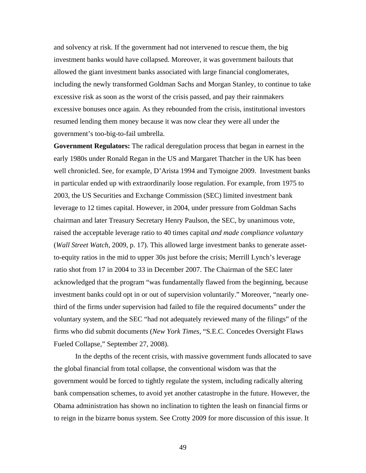and solvency at risk. If the government had not intervened to rescue them, the big investment banks would have collapsed. Moreover, it was government bailouts that allowed the giant investment banks associated with large financial conglomerates, including the newly transformed Goldman Sachs and Morgan Stanley, to continue to take excessive risk as soon as the worst of the crisis passed, and pay their rainmakers excessive bonuses once again. As they rebounded from the crisis, institutional investors resumed lending them money because it was now clear they were all under the government's too-big-to-fail umbrella.

**Government Regulators:** The radical deregulation process that began in earnest in the early 1980s under Ronald Regan in the US and Margaret Thatcher in the UK has been well chronicled. See, for example, D'Arista 1994 and Tymoigne 2009. Investment banks in particular ended up with extraordinarily loose regulation. For example, from 1975 to 2003, the US Securities and Exchange Commission (SEC) limited investment bank leverage to 12 times capital. However, in 2004, under pressure from Goldman Sachs chairman and later Treasury Secretary Henry Paulson, the SEC, by unanimous vote, raised the acceptable leverage ratio to 40 times capital *and made compliance voluntary*  (*Wall Street Watch*, 2009, p. 17). This allowed large investment banks to generate assetto-equity ratios in the mid to upper 30s just before the crisis; Merrill Lynch's leverage ratio shot from 17 in 2004 to 33 in December 2007. The Chairman of the SEC later acknowledged that the program "was fundamentally flawed from the beginning, because investment banks could opt in or out of supervision voluntarily." Moreover, "nearly onethird of the firms under supervision had failed to file the required documents" under the voluntary system, and the SEC "had not adequately reviewed many of the filings" of the firms who did submit documents (*New York Times*, "S.E.C. Concedes Oversight Flaws Fueled Collapse," September 27, 2008).

In the depths of the recent crisis, with massive government funds allocated to save the global financial from total collapse, the conventional wisdom was that the government would be forced to tightly regulate the system, including radically altering bank compensation schemes, to avoid yet another catastrophe in the future. However, the Obama administration has shown no inclination to tighten the leash on financial firms or to reign in the bizarre bonus system. See Crotty 2009 for more discussion of this issue. It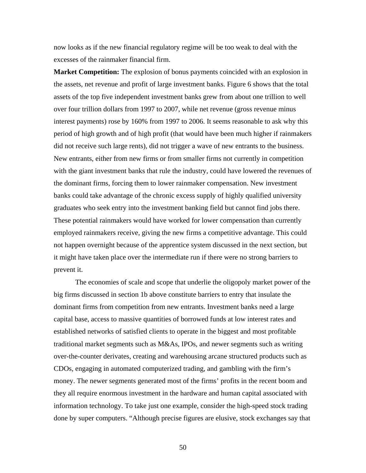now looks as if the new financial regulatory regime will be too weak to deal with the excesses of the rainmaker financial firm.

**Market Competition:** The explosion of bonus payments coincided with an explosion in the assets, net revenue and profit of large investment banks. Figure 6 shows that the total assets of the top five independent investment banks grew from about one trillion to well over four trillion dollars from 1997 to 2007, while net revenue (gross revenue minus interest payments) rose by 160% from 1997 to 2006. It seems reasonable to ask why this period of high growth and of high profit (that would have been much higher if rainmakers did not receive such large rents), did not trigger a wave of new entrants to the business. New entrants, either from new firms or from smaller firms not currently in competition with the giant investment banks that rule the industry, could have lowered the revenues of the dominant firms, forcing them to lower rainmaker compensation. New investment banks could take advantage of the chronic excess supply of highly qualified university graduates who seek entry into the investment banking field but cannot find jobs there. These potential rainmakers would have worked for lower compensation than currently employed rainmakers receive, giving the new firms a competitive advantage. This could not happen overnight because of the apprentice system discussed in the next section, but it might have taken place over the intermediate run if there were no strong barriers to prevent it.

The economies of scale and scope that underlie the oligopoly market power of the big firms discussed in section 1b above constitute barriers to entry that insulate the dominant firms from competition from new entrants. Investment banks need a large capital base, access to massive quantities of borrowed funds at low interest rates and established networks of satisfied clients to operate in the biggest and most profitable traditional market segments such as M&As, IPOs, and newer segments such as writing over-the-counter derivates, creating and warehousing arcane structured products such as CDOs, engaging in automated computerized trading, and gambling with the firm's money. The newer segments generated most of the firms' profits in the recent boom and they all require enormous investment in the hardware and human capital associated with information technology. To take just one example, consider the high-speed stock trading done by super computers. "Although precise figures are elusive, stock exchanges say that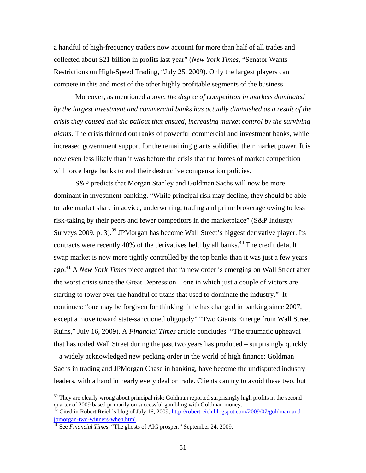a handful of high-frequency traders now account for more than half of all trades and collected about \$21 billion in profits last year" (*New York Times*, "Senator Wants Restrictions on High-Speed Trading, "July 25, 2009). Only the largest players can compete in this and most of the other highly profitable segments of the business.

Moreover, as mentioned above, *the degree of competition in markets dominated by the largest investment and commercial banks has actually diminished as a result of the crisis they caused and the bailout that ensued, increasing market control by the surviving giants*. The crisis thinned out ranks of powerful commercial and investment banks, while increased government support for the remaining giants solidified their market power. It is now even less likely than it was before the crisis that the forces of market competition will force large banks to end their destructive compensation policies.

S&P predicts that Morgan Stanley and Goldman Sachs will now be more dominant in investment banking. "While principal risk may decline, they should be able to take market share in advice, underwriting, trading and prime brokerage owing to less risk-taking by their peers and fewer competitors in the marketplace" (S&P Industry Surveys 2009, p. 3).<sup>39</sup> JPMorgan has become Wall Street's biggest derivative player. Its contracts were recently 40% of the derivatives held by all banks.<sup>40</sup> The credit default swap market is now more tightly controlled by the top banks than it was just a few years ago. [41](#page-52-2) A *New York Times* piece argued that "a new order is emerging on Wall Street after the worst crisis since the Great Depression – one in which just a couple of victors are starting to tower over the handful of titans that used to dominate the industry." It continues: "one may be forgiven for thinking little has changed in banking since 2007, except a move toward state-sanctioned oligopoly" "Two Giants Emerge from Wall Street Ruins," July 16, 2009). A *Financial Times* article concludes: "The traumatic upheaval that has roiled Wall Street during the past two years has produced – surprisingly quickly – a widely acknowledged new pecking order in the world of high finance: Goldman Sachs in trading and JPMorgan Chase in banking, have become the undisputed industry leaders, with a hand in nearly every deal or trade. Clients can try to avoid these two, but

<span id="page-52-0"></span> $39$  They are clearly wrong about principal risk: Goldman reported surprisingly high profits in the second quarter of 2009 based primarily on successful gambling with Goldman money.

<span id="page-52-1"></span>Cited in Robert Reich's blog of July 16, 2009, [http://robertreich.blogspot.com/2009/07/goldman-and](http://robertreich.blogspot.com/2009/07/goldman-and-jpmorgan-two-winners-when.html)[jpmorgan-two-winners-when.html.](http://robertreich.blogspot.com/2009/07/goldman-and-jpmorgan-two-winners-when.html) [41](http://robertreich.blogspot.com/2009/07/goldman-and-jpmorgan-two-winners-when.html) See *Financial Times*, "The ghosts of AIG prosper," September 24, 2009.

<span id="page-52-2"></span>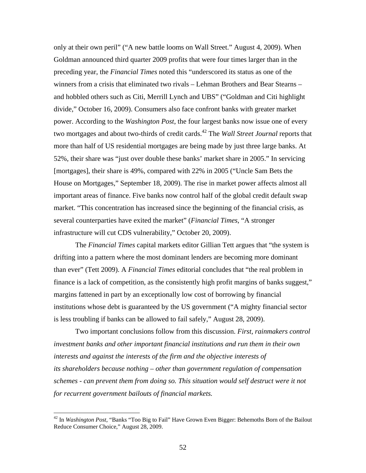only at their own peril" ("A new battle looms on Wall Street." August 4, 2009). When Goldman announced third quarter 2009 profits that were four times larger than in the preceding year, the *Financial Times* noted this "underscored its status as one of the winners from a crisis that eliminated two rivals – Lehman Brothers and Bear Stearns – and hobbled others such as Citi, Merrill Lynch and UBS" ("Goldman and Citi highlight divide," October 16, 2009). Consumers also face confront banks with greater market power. According to the *Washington Post*, the four largest banks now issue one of every two mortgages and about two-thirds of credit cards.<sup>42</sup> The *Wall Street Journal* reports that more than half of US residential mortgages are being made by just three large banks. At 52%, their share was "just over double these banks' market share in 2005." In servicing [mortgages], their share is 49%, compared with 22% in 2005 ("Uncle Sam Bets the House on Mortgages," September 18, 2009). The rise in market power affects almost all important areas of finance. Five banks now control half of the global credit default swap market. "This concentration has increased since the beginning of the financial crisis, as several counterparties have exited the market" (*Financial Times*, "A stronger infrastructure will cut CDS vulnerability," October 20, 2009).

 The *Financial Times* capital markets editor Gillian Tett argues that "the system is drifting into a pattern where the most dominant lenders are becoming more dominant than ever" (Tett 2009). A *Financial Times* editorial concludes that "the real problem in finance is a lack of competition, as the consistently high profit margins of banks suggest," margins fattened in part by an exceptionally low cost of borrowing by financial institutions whose debt is guaranteed by the US government ("A mighty financial sector is less troubling if banks can be allowed to fail safely," August 28, 2009).

Two important conclusions follow from this discussion. *First, rainmakers control investment banks and other important financial institutions and run them in their own interests and against the interests of the firm and the objective interests of its shareholders because nothing – other than government regulation of compensation schemes - can prevent them from doing so. This situation would self destruct were it not for recurrent government bailouts of financial markets.* 

 $\overline{a}$ 

<span id="page-53-0"></span><sup>42</sup> In *Washington Post*, "Banks "Too Big to Fail" Have Grown Even Bigger: Behemoths Born of the Bailout Reduce Consumer Choice," August 28, 2009.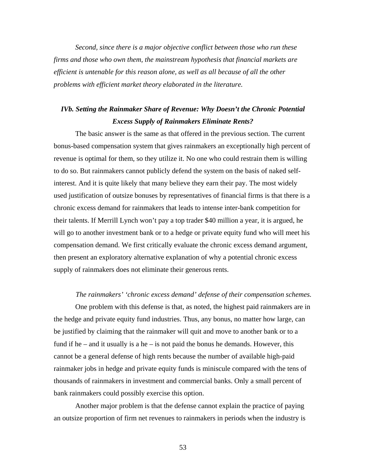*Second, since there is a major objective conflict between those who run these firms and those who own them, the mainstream hypothesis that financial markets are efficient is untenable for this reason alone, as well as all because of all the other problems with efficient market theory elaborated in the literature.* 

## *IVb. Setting the Rainmaker Share of Revenue: Why Doesn't the Chronic Potential Excess Supply of Rainmakers Eliminate Rents?*

The basic answer is the same as that offered in the previous section. The current bonus-based compensation system that gives rainmakers an exceptionally high percent of revenue is optimal for them, so they utilize it. No one who could restrain them is willing to do so. But rainmakers cannot publicly defend the system on the basis of naked selfinterest. And it is quite likely that many believe they earn their pay. The most widely used justification of outsize bonuses by representatives of financial firms is that there is a chronic excess demand for rainmakers that leads to intense inter-bank competition for their talents. If Merrill Lynch won't pay a top trader \$40 million a year, it is argued, he will go to another investment bank or to a hedge or private equity fund who will meet his compensation demand. We first critically evaluate the chronic excess demand argument, then present an exploratory alternative explanation of why a potential chronic excess supply of rainmakers does not eliminate their generous rents.

#### *The rainmakers' 'chronic excess demand' defense of their compensation schemes.*

One problem with this defense is that, as noted, the highest paid rainmakers are in the hedge and private equity fund industries. Thus, any bonus, no matter how large, can be justified by claiming that the rainmaker will quit and move to another bank or to a fund if he – and it usually is a he – is not paid the bonus he demands. However, this cannot be a general defense of high rents because the number of available high-paid rainmaker jobs in hedge and private equity funds is miniscule compared with the tens of thousands of rainmakers in investment and commercial banks. Only a small percent of bank rainmakers could possibly exercise this option.

Another major problem is that the defense cannot explain the practice of paying an outsize proportion of firm net revenues to rainmakers in periods when the industry is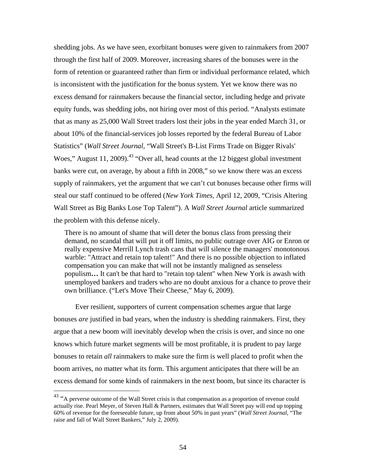shedding jobs. As we have seen, exorbitant bonuses were given to rainmakers from 2007 through the first half of 2009. Moreover, increasing shares of the bonuses were in the form of retention or guaranteed rather than firm or individual performance related, which is inconsistent with the justification for the bonus system. Yet we know there was no excess demand for rainmakers because the financial sector, including hedge and private equity funds, was shedding jobs, not hiring over most of this period. "Analysts estimate that as many as 25,000 Wall Street traders lost their jobs in the year ended March 31, or about 10% of the financial-services job losses reported by the federal Bureau of Labor Statistics" (*Wall Street Journal*, "Wall Street's B-List Firms Trade on Bigger Rivals' Woes," August 11, 2009).<sup>43</sup> "Over all, head counts at the 12 biggest global investment banks were cut, on average, by about a fifth in 2008," so we know there was an excess supply of rainmakers, yet the argument that we can't cut bonuses because other firms will steal our staff continued to be offered (*New York Times,* April 12, 2009, "Crisis Altering Wall Street as Big Banks Lose Top Talent"). A *Wall Street Journal* article summarized the problem with this defense nicely.

There is no amount of shame that will deter the bonus class from pressing their demand, no scandal that will put it off limits, no public outrage over AIG or Enron or really expensive Merrill Lynch trash cans that will silence the managers' monotonous warble: "Attract and retain top talent!" And there is no possible objection to inflated compensation you can make that will not be instantly maligned as senseless populism**…** It can't be that hard to "retain top talent" when New York is awash with unemployed bankers and traders who are no doubt anxious for a chance to prove their own brilliance. ("Let's Move Their Cheese," May 6, 2009).

Ever resilient, supporters of current compensation schemes argue that large bonuses *are* justified in bad years, when the industry is shedding rainmakers. First, they argue that a new boom will inevitably develop when the crisis is over, and since no one knows which future market segments will be most profitable, it is prudent to pay large bonuses to retain *all* rainmakers to make sure the firm is well placed to profit when the boom arrives, no matter what its form. This argument anticipates that there will be an excess demand for some kinds of rainmakers in the next boom, but since its character is

 $\overline{a}$ 

<span id="page-55-0"></span> $43$  "A perverse outcome of the Wall Street crisis is that compensation as a proportion of revenue could actually rise. Pearl Meyer, of Steven Hall & Partners, estimates that Wall Street pay will end up topping 60% of revenue for the foreseeable future, up from about 50% in past years" (*Wall Street Journal*, "The raise and fall of Wall Street Bankers," July 2, 2009).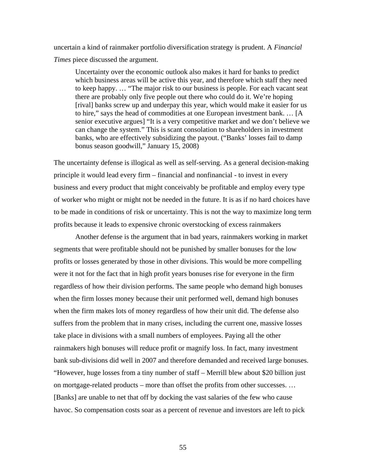uncertain a kind of rainmaker portfolio diversification strategy is prudent. A *Financial Times* piece discussed the argument.

Uncertainty over the economic outlook also makes it hard for banks to predict which business areas will be active this year, and therefore which staff they need to keep happy. … "The major risk to our business is people. For each vacant seat there are probably only five people out there who could do it. We're hoping [rival] banks screw up and underpay this year, which would make it easier for us to hire," says the head of commodities at one European investment bank. … [A senior executive argues] "It is a very competitive market and we don't believe we can change the system." This is scant consolation to shareholders in investment banks, who are effectively subsidizing the payout. ("Banks' losses fail to damp bonus season goodwill," January 15, 2008)

The uncertainty defense is illogical as well as self-serving. As a general decision-making principle it would lead every firm – financial and nonfinancial - to invest in every business and every product that might conceivably be profitable and employ every type of worker who might or might not be needed in the future. It is as if no hard choices have to be made in conditions of risk or uncertainty. This is not the way to maximize long term profits because it leads to expensive chronic overstocking of excess rainmakers

Another defense is the argument that in bad years, rainmakers working in market segments that were profitable should not be punished by smaller bonuses for the low profits or losses generated by those in other divisions. This would be more compelling were it not for the fact that in high profit years bonuses rise for everyone in the firm regardless of how their division performs. The same people who demand high bonuses when the firm losses money because their unit performed well, demand high bonuses when the firm makes lots of money regardless of how their unit did. The defense also suffers from the problem that in many crises, including the current one, massive losses take place in divisions with a small numbers of employees. Paying all the other rainmakers high bonuses will reduce profit or magnify loss. In fact, many investment bank sub-divisions did well in 2007 and therefore demanded and received large bonuses. "However, huge losses from a tiny number of staff – Merrill blew about \$20 billion just on mortgage-related products – more than offset the profits from other successes. … [Banks] are unable to net that off by docking the vast salaries of the few who cause havoc. So compensation costs soar as a percent of revenue and investors are left to pick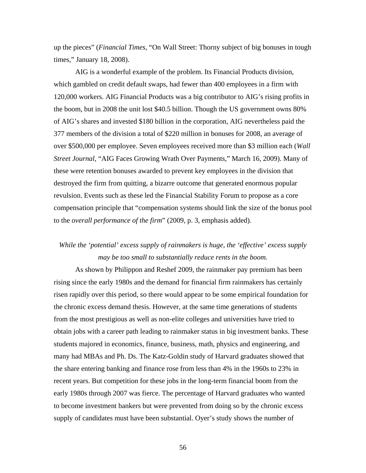up the pieces" (*Financial Times*, "On Wall Street: Thorny subject of big bonuses in tough times," January 18, 2008).

AIG is a wonderful example of the problem. Its Financial Products division, which gambled on credit default swaps, had fewer than 400 employees in a firm with 120,000 workers. AIG Financial Products was a big contributor to AIG's rising profits in the boom, but in 2008 the unit lost \$40.5 billion. Though the US government owns 80% of AIG's shares and invested \$180 billion in the corporation, AIG nevertheless paid the 377 members of the division a total of \$220 million in bonuses for 2008, an average of over \$500,000 per employee. Seven employees received more than \$3 million each (*Wall Street Journal*, "AIG Faces Growing Wrath Over Payments," March 16, 2009). Many of these were retention bonuses awarded to prevent key employees in the division that destroyed the firm from quitting, a bizarre outcome that generated enormous popular revulsion. Events such as these led the Financial Stability Forum to propose as a core compensation principle that "compensation systems should link the size of the bonus pool to the *overall performance of the firm*" (2009, p. 3, emphasis added).

# *While the 'potential' excess supply of rainmakers is huge, the 'effective' excess supply may be too small to substantially reduce rents in the boom.*

As shown by Philippon and Reshef 2009, the rainmaker pay premium has been rising since the early 1980s and the demand for financial firm rainmakers has certainly risen rapidly over this period, so there would appear to be some empirical foundation for the chronic excess demand thesis. However, at the same time generations of students from the most prestigious as well as non-elite colleges and universities have tried to obtain jobs with a career path leading to rainmaker status in big investment banks. These students majored in economics, finance, business, math, physics and engineering, and many had MBAs and Ph. Ds. The Katz-Goldin study of Harvard graduates showed that the share entering banking and finance rose from less than 4% in the 1960s to 23% in recent years. But competition for these jobs in the long-term financial boom from the early 1980s through 2007 was fierce. The percentage of Harvard graduates who wanted to become investment bankers but were prevented from doing so by the chronic excess supply of candidates must have been substantial. Oyer's study shows the number of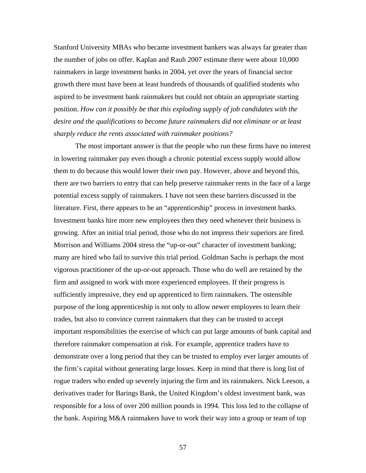Stanford University MBAs who became investment bankers was always far greater than the number of jobs on offer. Kaplan and Rauh 2007 estimate there were about 10,000 rainmakers in large investment banks in 2004, yet over the years of financial sector growth there must have been at least hundreds of thousands of qualified students who aspired to be investment bank rainmakers but could not obtain an appropriate starting position. *How can it possibly be that this exploding supply of job candidates with the desire and the qualifications to become future rainmakers did not eliminate or at least sharply reduce the rents associated with rainmaker positions?* 

The most important answer is that the people who run these firms have no interest in lowering rainmaker pay even though a chronic potential excess supply would allow them to do because this would lower their own pay. However, above and beyond this, there are two barriers to entry that can help preserve rainmaker rents in the face of a large potential excess supply of rainmakers. I have not seen these barriers discussed in the literature. First, there appears to be an "apprenticeship" process in investment banks. Investment banks hire more new employees then they need whenever their business is growing. After an initial trial period, those who do not impress their superiors are fired. Morrison and Williams 2004 stress the "up-or-out" character of investment banking; many are hired who fail to survive this trial period. Goldman Sachs is perhaps the most vigorous practitioner of the up-or-out approach. Those who do well are retained by the firm and assigned to work with more experienced employees. If their progress is sufficiently impressive, they end up apprenticed to firm rainmakers. The ostensible purpose of the long apprenticeship is not only to allow newer employees to learn their trades, but also to convince current rainmakers that they can be trusted to accept important responsibilities the exercise of which can put large amounts of bank capital and therefore rainmaker compensation at risk. For example, apprentice traders have to demonstrate over a long period that they can be trusted to employ ever larger amounts of the firm's capital without generating large losses. Keep in mind that there is long list of rogue traders who ended up severely injuring the firm and its rainmakers. Nick Leeson, a derivatives trader for Barings Bank, the United Kingdom's oldest investment bank, was responsible for a loss of over 200 million pounds in 1994. This loss led to the collapse of the bank. Aspiring M&A rainmakers have to work their way into a group or team of top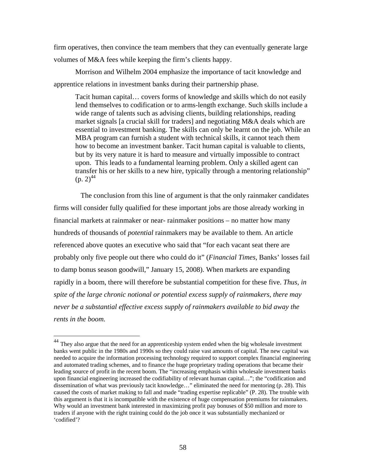firm operatives, then convince the team members that they can eventually generate large volumes of M&A fees while keeping the firm's clients happy.

Morrison and Wilhelm 2004 emphasize the importance of tacit knowledge and apprentice relations in investment banks during their partnership phase.

Tacit human capital… covers forms of knowledge and skills which do not easily lend themselves to codification or to arms-length exchange. Such skills include a wide range of talents such as advising clients, building relationships, reading market signals [a crucial skill for traders] and negotiating M&A deals which are essential to investment banking. The skills can only be learnt on the job. While an MBA program can furnish a student with technical skills, it cannot teach them how to become an investment banker. Tacit human capital is valuable to clients, but by its very nature it is hard to measure and virtually impossible to contract upon. This leads to a fundamental learning problem. Only a skilled agent can transfer his or her skills to a new hire, typically through a mentoring relationship"  $(p. 2)^{44}$ 

The conclusion from this line of argument is that the only rainmaker candidates firms will consider fully qualified for these important jobs are those already working in financial markets at rainmaker or near- rainmaker positions – no matter how many hundreds of thousands of *potential* rainmakers may be available to them. An article referenced above quotes an executive who said that "for each vacant seat there are probably only five people out there who could do it" (*Financial Times*, Banks' losses fail to damp bonus season goodwill," January 15, 2008). When markets are expanding rapidly in a boom, there will therefore be substantial competition for these five. *Thus, in spite of the large chronic notional or potential excess supply of rainmakers, there may never be a substantial effective excess supply of rainmakers available to bid away the rents in the boom.*

<u>.</u>

<span id="page-59-0"></span> $^{44}$  They also argue that the need for an apprenticeship system ended when the big wholesale investment banks went public in the 1980s and 1990s so they could raise vast amounts of capital. The new capital was needed to acquire the information processing technology required to support complex financial engineering and automated trading schemes, and to finance the huge proprietary trading operations that became their leading source of profit in the recent boom. The "increasing emphasis within wholesale investment banks upon financial engineering increased the codifiability of relevant human capital…"; the "codification and dissemination of what was previously tacit knowledge…" eliminated the need for mentoring (p. 28). This caused the costs of market making to fall and made "trading expertise replicable" (P. 28). The trouble with this argument is that it is incompatible with the existence of huge compensation premiums for rainmakers. Why would an investment bank interested in maximizing profit pay bonuses of \$50 million and more to traders if anyone with the right training could do the job once it was substantially mechanized or 'codified'?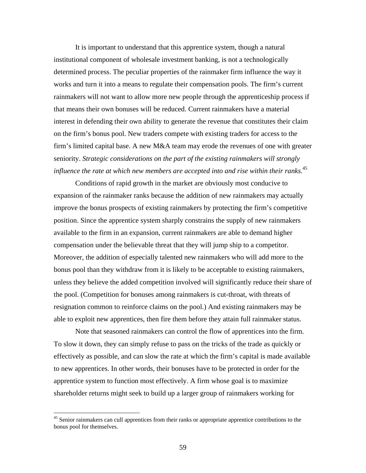It is important to understand that this apprentice system, though a natural institutional component of wholesale investment banking, is not a technologically determined process. The peculiar properties of the rainmaker firm influence the way it works and turn it into a means to regulate their compensation pools. The firm's current rainmakers will not want to allow more new people through the apprenticeship process if that means their own bonuses will be reduced. Current rainmakers have a material interest in defending their own ability to generate the revenue that constitutes their claim on the firm's bonus pool. New traders compete with existing traders for access to the firm's limited capital base. A new M&A team may erode the revenues of one with greater seniority. *Strategic considerations on the part of the existing rainmakers will strongly influence the rate at which new members are accepted into and rise within their ranks*. [45](#page-60-0) 

Conditions of rapid growth in the market are obviously most conducive to expansion of the rainmaker ranks because the addition of new rainmakers may actually improve the bonus prospects of existing rainmakers by protecting the firm's competitive position. Since the apprentice system sharply constrains the supply of new rainmakers available to the firm in an expansion, current rainmakers are able to demand higher compensation under the believable threat that they will jump ship to a competitor. Moreover, the addition of especially talented new rainmakers who will add more to the bonus pool than they withdraw from it is likely to be acceptable to existing rainmakers, unless they believe the added competition involved will significantly reduce their share of the pool. (Competition for bonuses among rainmakers is cut-throat, with threats of resignation common to reinforce claims on the pool.) And existing rainmakers may be able to exploit new apprentices, then fire them before they attain full rainmaker status.

Note that seasoned rainmakers can control the flow of apprentices into the firm. To slow it down, they can simply refuse to pass on the tricks of the trade as quickly or effectively as possible, and can slow the rate at which the firm's capital is made available to new apprentices. In other words, their bonuses have to be protected in order for the apprentice system to function most effectively. A firm whose goal is to maximize shareholder returns might seek to build up a larger group of rainmakers working for

<span id="page-60-0"></span><sup>&</sup>lt;sup>45</sup> Senior rainmakers can cull apprentices from their ranks or appropriate apprentice contributions to the bonus pool for themselves.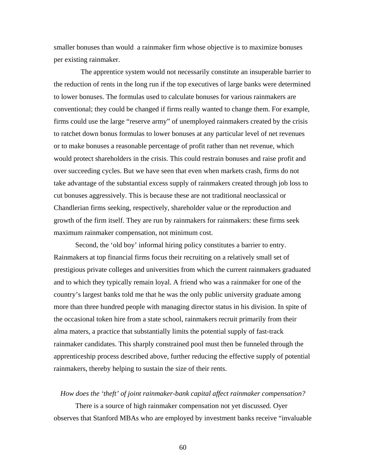smaller bonuses than would a rainmaker firm whose objective is to maximize bonuses per existing rainmaker.

The apprentice system would not necessarily constitute an insuperable barrier to the reduction of rents in the long run if the top executives of large banks were determined to lower bonuses. The formulas used to calculate bonuses for various rainmakers are conventional; they could be changed if firms really wanted to change them. For example, firms could use the large "reserve army" of unemployed rainmakers created by the crisis to ratchet down bonus formulas to lower bonuses at any particular level of net revenues or to make bonuses a reasonable percentage of profit rather than net revenue, which would protect shareholders in the crisis. This could restrain bonuses and raise profit and over succeeding cycles. But we have seen that even when markets crash, firms do not take advantage of the substantial excess supply of rainmakers created through job loss to cut bonuses aggressively. This is because these are not traditional neoclassical or Chandlerian firms seeking, respectively, shareholder value or the reproduction and growth of the firm itself. They are run by rainmakers for rainmakers: these firms seek maximum rainmaker compensation, not minimum cost.

Second, the 'old boy' informal hiring policy constitutes a barrier to entry. Rainmakers at top financial firms focus their recruiting on a relatively small set of prestigious private colleges and universities from which the current rainmakers graduated and to which they typically remain loyal. A friend who was a rainmaker for one of the country's largest banks told me that he was the only public university graduate among more than three hundred people with managing director status in his division. In spite of the occasional token hire from a state school, rainmakers recruit primarily from their alma maters, a practice that substantially limits the potential supply of fast-track rainmaker candidates. This sharply constrained pool must then be funneled through the apprenticeship process described above, further reducing the effective supply of potential rainmakers, thereby helping to sustain the size of their rents.

#### *How does the 'theft' of joint rainmaker-bank capital affect rainmaker compensation?*

There is a source of high rainmaker compensation not yet discussed. Oyer observes that Stanford MBAs who are employed by investment banks receive "invaluable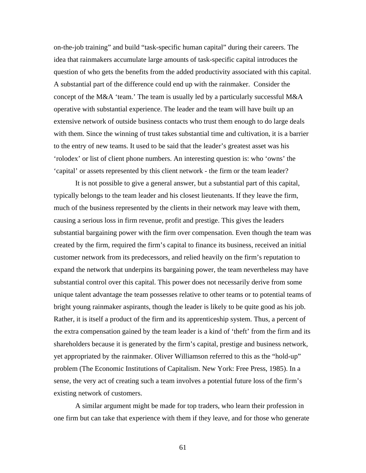on-the-job training" and build "task-specific human capital" during their careers. The idea that rainmakers accumulate large amounts of task-specific capital introduces the question of who gets the benefits from the added productivity associated with this capital. A substantial part of the difference could end up with the rainmaker. Consider the concept of the M&A 'team.' The team is usually led by a particularly successful M&A operative with substantial experience. The leader and the team will have built up an extensive network of outside business contacts who trust them enough to do large deals with them. Since the winning of trust takes substantial time and cultivation, it is a barrier to the entry of new teams. It used to be said that the leader's greatest asset was his 'rolodex' or list of client phone numbers. An interesting question is: who 'owns' the 'capital' or assets represented by this client network - the firm or the team leader?

It is not possible to give a general answer, but a substantial part of this capital, typically belongs to the team leader and his closest lieutenants. If they leave the firm, much of the business represented by the clients in their network may leave with them, causing a serious loss in firm revenue, profit and prestige. This gives the leaders substantial bargaining power with the firm over compensation. Even though the team was created by the firm, required the firm's capital to finance its business, received an initial customer network from its predecessors, and relied heavily on the firm's reputation to expand the network that underpins its bargaining power, the team nevertheless may have substantial control over this capital. This power does not necessarily derive from some unique talent advantage the team possesses relative to other teams or to potential teams of bright young rainmaker aspirants, though the leader is likely to be quite good as his job. Rather, it is itself a product of the firm and its apprenticeship system. Thus, a percent of the extra compensation gained by the team leader is a kind of 'theft' from the firm and its shareholders because it is generated by the firm's capital, prestige and business network, yet appropriated by the rainmaker. Oliver Williamson referred to this as the "hold-up" problem (The Economic Institutions of Capitalism. New York: Free Press, 1985). In a sense, the very act of creating such a team involves a potential future loss of the firm's existing network of customers.

A similar argument might be made for top traders, who learn their profession in one firm but can take that experience with them if they leave, and for those who generate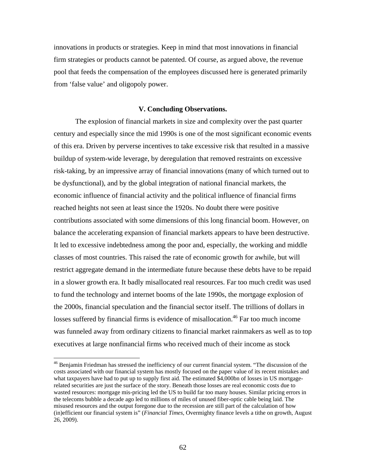innovations in products or strategies. Keep in mind that most innovations in financial firm strategies or products cannot be patented. Of course, as argued above, the revenue pool that feeds the compensation of the employees discussed here is generated primarily from 'false value' and oligopoly power.

### **V. Concluding Observations.**

The explosion of financial markets in size and complexity over the past quarter century and especially since the mid 1990s is one of the most significant economic events of this era. Driven by perverse incentives to take excessive risk that resulted in a massive buildup of system-wide leverage, by deregulation that removed restraints on excessive risk-taking, by an impressive array of financial innovations (many of which turned out to be dysfunctional), and by the global integration of national financial markets, the economic influence of financial activity and the political influence of financial firms reached heights not seen at least since the 1920s. No doubt there were positive contributions associated with some dimensions of this long financial boom. However, on balance the accelerating expansion of financial markets appears to have been destructive. It led to excessive indebtedness among the poor and, especially, the working and middle classes of most countries. This raised the rate of economic growth for awhile, but will restrict aggregate demand in the intermediate future because these debts have to be repaid in a slower growth era. It badly misallocated real resources. Far too much credit was used to fund the technology and internet booms of the late 1990s, the mortgage explosion of the 2000s, financial speculation and the financial sector itself. The trillions of dollars in losses suffered by financial firms is evidence of misallocation.<sup>46</sup> Far too much income was funneled away from ordinary citizens to financial market rainmakers as well as to top executives at large nonfinancial firms who received much of their income as stock

<span id="page-63-0"></span><sup>&</sup>lt;sup>46</sup> Benjamin Friedman has stressed the inefficiency of our current financial system. "The discussion of the costs associated with our financial system has mostly focused on the paper value of its recent mistakes and what taxpayers have had to put up to supply first aid. The estimated \$4,000bn of losses in US mortgagerelated securities are just the surface of the story. Beneath those losses are real economic costs due to wasted resources: mortgage mis-pricing led the US to build far too many houses. Similar pricing errors in the telecoms bubble a decade ago led to millions of miles of unused fiber-optic cable being laid. The misused resources and the output foregone due to the recession are still part of the calculation of how (in)efficient our financial system is" (*Financial Times*, Overmighty finance levels a tithe on growth, August 26, 2009).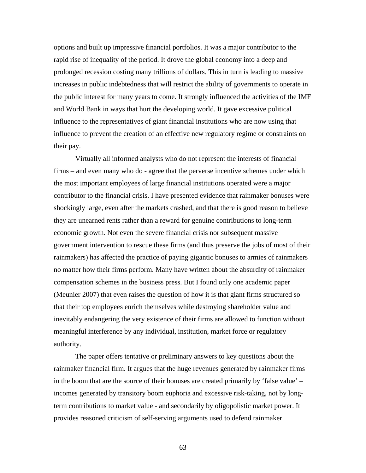options and built up impressive financial portfolios. It was a major contributor to the rapid rise of inequality of the period. It drove the global economy into a deep and prolonged recession costing many trillions of dollars. This in turn is leading to massive increases in public indebtedness that will restrict the ability of governments to operate in the public interest for many years to come. It strongly influenced the activities of the IMF and World Bank in ways that hurt the developing world. It gave excessive political influence to the representatives of giant financial institutions who are now using that influence to prevent the creation of an effective new regulatory regime or constraints on their pay.

Virtually all informed analysts who do not represent the interests of financial firms – and even many who do - agree that the perverse incentive schemes under which the most important employees of large financial institutions operated were a major contributor to the financial crisis. I have presented evidence that rainmaker bonuses were shockingly large, even after the markets crashed, and that there is good reason to believe they are unearned rents rather than a reward for genuine contributions to long-term economic growth. Not even the severe financial crisis nor subsequent massive government intervention to rescue these firms (and thus preserve the jobs of most of their rainmakers) has affected the practice of paying gigantic bonuses to armies of rainmakers no matter how their firms perform. Many have written about the absurdity of rainmaker compensation schemes in the business press. But I found only one academic paper (Meunier 2007) that even raises the question of how it is that giant firms structured so that their top employees enrich themselves while destroying shareholder value and inevitably endangering the very existence of their firms are allowed to function without meaningful interference by any individual, institution, market force or regulatory authority.

The paper offers tentative or preliminary answers to key questions about the rainmaker financial firm. It argues that the huge revenues generated by rainmaker firms in the boom that are the source of their bonuses are created primarily by 'false value' – incomes generated by transitory boom euphoria and excessive risk-taking, not by longterm contributions to market value - and secondarily by oligopolistic market power. It provides reasoned criticism of self-serving arguments used to defend rainmaker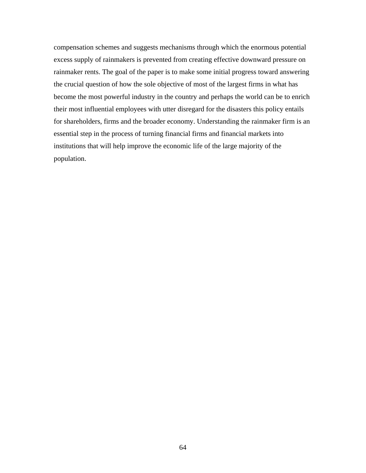compensation schemes and suggests mechanisms through which the enormous potential excess supply of rainmakers is prevented from creating effective downward pressure on rainmaker rents. The goal of the paper is to make some initial progress toward answering the crucial question of how the sole objective of most of the largest firms in what has become the most powerful industry in the country and perhaps the world can be to enrich their most influential employees with utter disregard for the disasters this policy entails for shareholders, firms and the broader economy. Understanding the rainmaker firm is an essential step in the process of turning financial firms and financial markets into institutions that will help improve the economic life of the large majority of the population.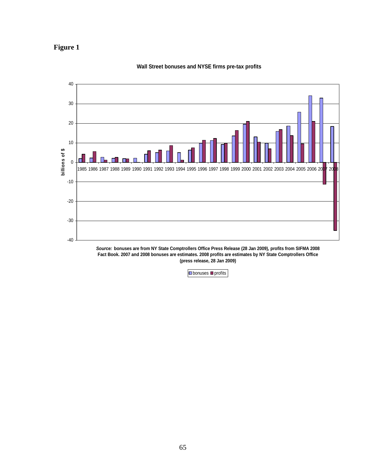



### **Wall Street bonuses and NYSE firms pre-tax profits**

**(press release, 28 Jan 2009)**

**D**bonuses **profits**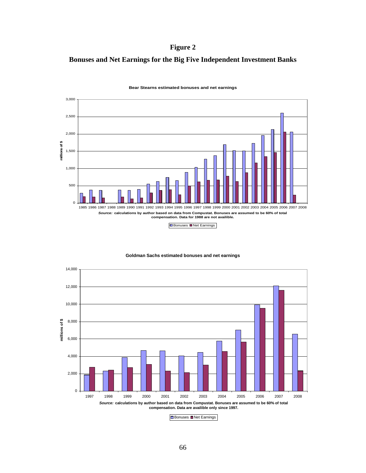**Figure 2** 

### **Bonuses and Net Earnings for the Big Five Independent Investment Banks**



**Bear Stearns estimated bonuses and net earnings**



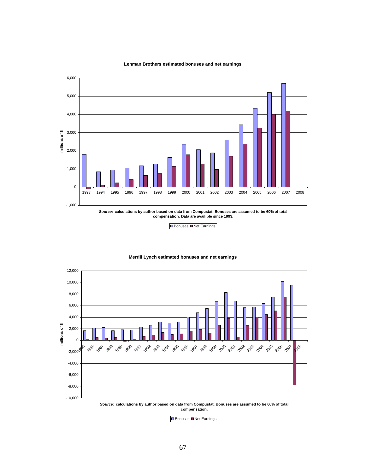

#### **Lehman Brothers estimated bonuses and net earnings**

Bonuses Net Earnings

#### **Merrill Lynch estimated bonuses and net earnings**





Bonuses Net Earnings

*Source:* **calculations by author based on data from Compustat. Bonuses are assumed to be 60% of total compensation. Data are availible since 1993.**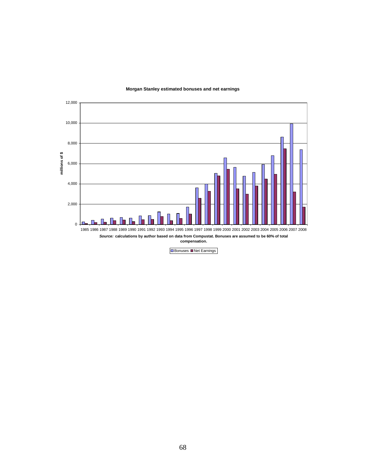

12,000





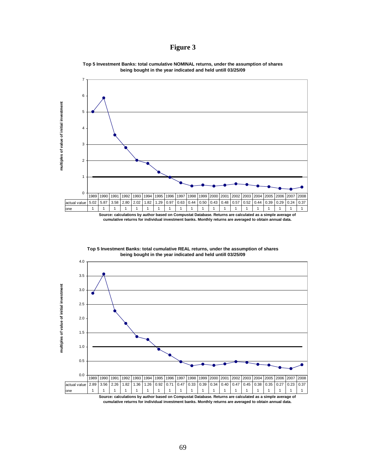### **Figure 3**



**Top 5 Investment Banks: total cumulative NOMINAL returns, under the assumption of shares being bought in the year indicated and held untill 03/25/09**

**Top 5 Investment Banks: total cumulative REAL returns, under the assumption of shares being bought in the year indicated and held untill 03/25/09**



**cumulative returns for individual investment banks. Monthly returns are averaged to obtain annual data.**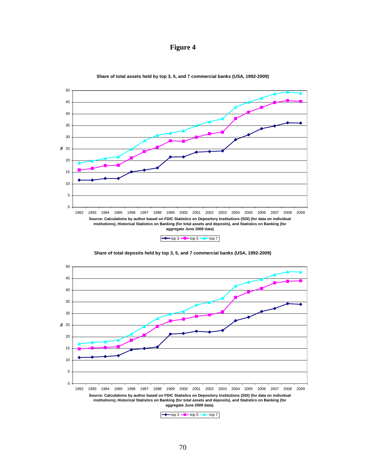



**Share of total assets held by top 3, 5, and 7 commercial banks (USA, 1992-2009)**

**Share of total deposits held by top 3, 5, and 7 commercial banks (USA, 1992-2009)**



 $\leftarrow$  top 3  $\leftarrow$  top 5  $\leftarrow$  top 7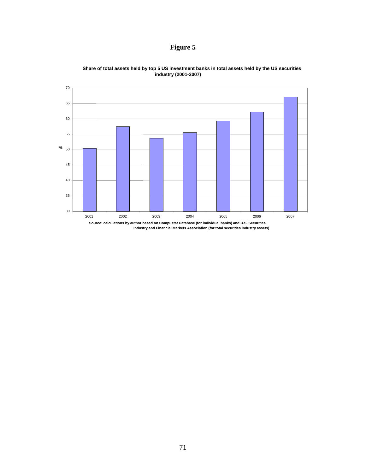**Figure 5** 



**Share of total assets held by top 5 US investment banks in total assets held by the US securities industry (2001-2007)**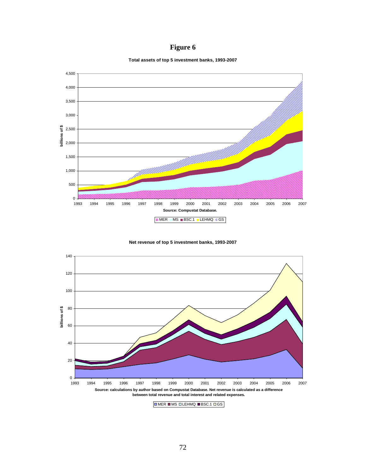## **Figure 6**

**Total assets of top 5 investment banks, 1993-2007**



## **Net revenue of top 5 investment banks, 1993-2007**



72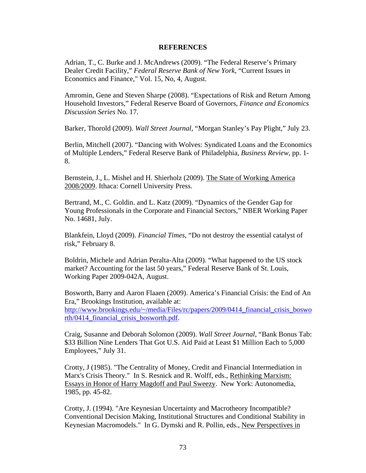## **REFERENCES**

Adrian, T., C. Burke and J. McAndrews (2009). "The Federal Reserve's Primary Dealer Credit Facility," *Federal Reserve Bank of New York*, "Current Issues in Economics and Finance," Vol. 15, No, 4, August.

Amromin, Gene and Steven Sharpe (2008). "Expectations of Risk and Return Among Household Investors," Federal Reserve Board of Governors*, Finance and Economics Discussion Series* No. 17.

Barker, Thorold (2009). *Wall Street Journal*, "Morgan Stanley's Pay Plight," July 23.

Berlin, Mitchell (2007). "Dancing with Wolves: Syndicated Loans and the Economics of Multiple Lenders," Federal Reserve Bank of Philadelphia, *Business Review*, pp. 1- 8.

Bernstein, J., L. Mishel and H. Shierholz (2009). The State of Working America 2008/2009. Ithaca: Cornell University Press.

Bertrand, M., C. Goldin. and L. Katz (2009). "Dynamics of the Gender Gap for Young Professionals in the Corporate and Financial Sectors," NBER Working Paper No. 14681, July.

Blankfein, Lloyd (2009). *Financial Times*, "Do not destroy the essential catalyst of risk," February 8.

Boldrin, Michele and Adrian Peralta-Alta (2009). "What happened to the US stock market? Accounting for the last 50 years," Federal Reserve Bank of St. Louis, Working Paper 2009-042A, August.

Bosworth, Barry and Aaron Flaaen (2009). America's Financial Crisis: the End of An Era," Brookings Institution, available at: http://www.brookings.edu/~/media/Files/rc/papers/2009/0414 financial crisis boswo [rth/0414\\_financial\\_crisis\\_bosworth.pdf.](http://www.brookings.edu/~/media/Files/rc/papers/2009/0414_financial_crisis_bosworth/0414_financial_crisis_bosworth.pdf)

Craig, Susanne and Deborah Solomon (2009). *Wall Street Journal*, "Bank Bonus Tab: \$33 Billion Nine Lenders That Got U.S. Aid Paid at Least \$1 Million Each to 5,000 Employees," July 31.

Crotty, J (1985). "The Centrality of Money, Credit and Financial Intermediation in Marx's Crisis Theory." In S. Resnick and R. Wolff, eds., Rethinking Marxism: Essays in Honor of Harry Magdoff and Paul Sweezy. New York: Autonomedia, 1985, pp. 45-82.

Crotty, J. (1994). "Are Keynesian Uncertainty and Macrotheory Incompatible? Conventional Decision Making, Institutional Structures and Conditional Stability in Keynesian Macromodels." In G. Dymski and R. Pollin, eds., New Perspectives in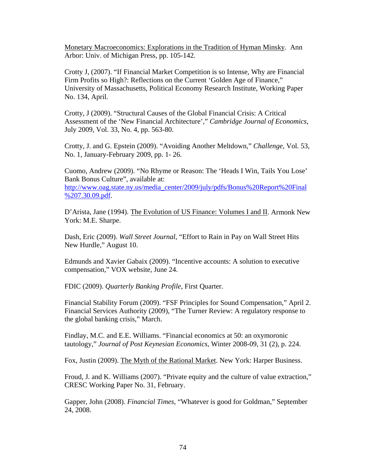Monetary Macroeconomics: Explorations in the Tradition of Hyman Minsky. Ann Arbor: Univ. of Michigan Press, pp. 105-142.

Crotty J, (2007). "If Financial Market Competition is so Intense, Why are Financial Firm Profits so High?: Reflections on the Current 'Golden Age of Finance," University of Massachusetts, Political Economy Research Institute, Working Paper No. 134, April.

Crotty, J (2009). "Structural Causes of the Global Financial Crisis: A Critical Assessment of the 'New Financial Architecture'," *Cambridge Journal of Economics*, July 2009, Vol. 33, No. 4, pp. 563-80.

Crotty, J. and G. Epstein (2009). "Avoiding Another Meltdown," *Challenge*, Vol. 53, No. 1, January-February 2009, pp. 1- 26.

Cuomo, Andrew (2009). "No Rhyme or Reason: The 'Heads I Win, Tails You Lose' Bank Bonus Culture", available at:

[http://www.oag.state.ny.us/media\\_center/2009/july/pdfs/Bonus%20Report%20Final](http://www.oag.state.ny.us/media_center/2009/july/pdfs/Bonus Report Final 7.30.09.pdf) [%207.30.09.pdf.](http://www.oag.state.ny.us/media_center/2009/july/pdfs/Bonus Report Final 7.30.09.pdf)

D'Arista, Jane (1994). The Evolution of US Finance: Volumes I and II. Armonk New York: M.E. Sharpe.

Dash, Eric (2009). *Wall Street Journal*, "Effort to Rain in Pay on Wall Street Hits New Hurdle," August 10.

Edmunds and Xavier Gabaix (2009). "Incentive accounts: A solution to executive compensation," VOX website, June 24.

FDIC (2009). *Quarterly Banking Profile*, First Quarter.

Financial Stability Forum (2009). "FSF Principles for Sound Compensation," April 2. Financial Services Authority (2009), "The Turner Review: A regulatory response to the global banking crisis," March.

Findlay, M.C. and E.E. Williams. "Financial economics at 50: an oxymoronic tautology," *Journal of Post Keynesian Economics*, Winter 2008-09, 31 (2), p. 224.

Fox, Justin (2009). The Myth of the Rational Market. New York: Harper Business.

Froud, J. and K. Williams (2007). "Private equity and the culture of value extraction," CRESC Working Paper No. 31, February.

Gapper, John (2008). *Financial Times*, "Whatever is good for Goldman," September 24, 2008.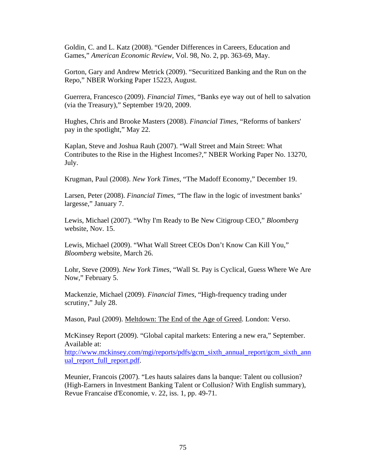Goldin, C. and L. Katz (2008). "Gender Differences in Careers, Education and Games," *American Economic Review*, Vol. 98, No. 2, pp. 363-69, May.

Gorton, Gary and Andrew Metrick (2009). "Securitized Banking and the Run on the Repo," NBER Working Paper 15223, August.

Guerrera, Francesco (2009). *Financial Times*, "Banks eye way out of hell to salvation (via the Treasury)," September 19/20, 2009.

Hughes, Chris and Brooke Masters (2008). *Financial Times*, "Reforms of bankers' pay in the spotlight," May 22.

Kaplan, Steve and Joshua Rauh (2007). "Wall Street and Main Street: What Contributes to the Rise in the Highest Incomes?," NBER Working Paper No. 13270, July.

Krugman, Paul (2008). *New York Times*, "The Madoff Economy," December 19.

Larsen, Peter (2008). *Financial Times*, "The flaw in the logic of investment banks' largesse," January 7.

Lewis, Michael (2007). "Why I'm Ready to Be New Citigroup CEO," *Bloomberg* website, Nov. 15.

Lewis, Michael (2009). "What Wall Street CEOs Don't Know Can Kill You," *Bloomberg* website, March 26.

Lohr, Steve (2009). *New York Times*, "Wall St. Pay is Cyclical, Guess Where We Are Now," February 5.

Mackenzie, Michael (2009). *Financial Times*, "High-frequency trading under scrutiny," July 28.

Mason, Paul (2009). Meltdown: The End of the Age of Greed. London: Verso.

McKinsey Report (2009). "Global capital markets: Entering a new era," September. Available at:

[http://www.mckinsey.com/mgi/reports/pdfs/gcm\\_sixth\\_annual\\_report/gcm\\_sixth\\_ann](http://www.mckinsey.com/mgi/reports/pdfs/gcm_sixth_annual_report/gcm_sixth_annual_report_full_report.pdf) [ual\\_report\\_full\\_report.pdf.](http://www.mckinsey.com/mgi/reports/pdfs/gcm_sixth_annual_report/gcm_sixth_annual_report_full_report.pdf)

Meunier, Francois (2007). "Les hauts salaires dans la banque: Talent ou collusion? (High-Earners in Investment Banking Talent or Collusion? With English summary), Revue Francaise d'Economie, v. 22, iss. 1, pp. 49-71.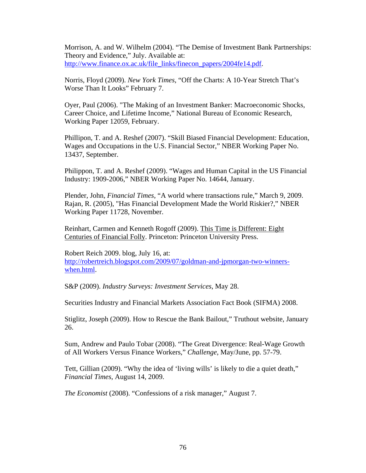Morrison, A. and W. Wilhelm (2004). "The Demise of Investment Bank Partnerships: Theory and Evidence," July. Available at: [http://www.finance.ox.ac.uk/file\\_links/finecon\\_papers/2004fe14.pdf.](http://www.finance.ox.ac.uk/file_links/finecon_papers/2004fe14.pdf)

Norris, Floyd (2009). *New York Times*, "Off the Charts: A 10-Year Stretch That's Worse Than It Looks" February 7.

Oyer, Paul (2006). "The Making of an Investment Banker: Macroeconomic Shocks, Career Choice, and Lifetime Income," National Bureau of Economic Research, Working Paper 12059, February.

Phillipon, T. and A. Reshef (2007). "Skill Biased Financial Development: Education, Wages and Occupations in the U.S. Financial Sector," NBER Working Paper No. 13437, September.

Philippon, T. and A. Reshef (2009). "Wages and Human Capital in the US Financial Industry: 1909-2006," NBER Working Paper No. 14644, January.

Plender, John, *Financial Times*, "A world where transactions rule," March 9, 2009. Rajan, R. (2005), "Has Financial Development Made the World Riskier?," NBER Working Paper 11728, November.

Reinhart, Carmen and Kenneth Rogoff (2009). This Time is Different: Eight Centuries of Financial Folly. Princeton: Princeton University Press.

Robert Reich 2009. blog, July 16, at: [http://robertreich.blogspot.com/2009/07/goldman-and-jpmorgan-two-winners](http://robertreich.blogspot.com/2009/07/goldman-and-jpmorgan-two-winners-when.html)[when.html.](http://robertreich.blogspot.com/2009/07/goldman-and-jpmorgan-two-winners-when.html)

S&P (2009). *Industry Surveys: Investment Services*, May 28.

Securities Industry and Financial Markets Association Fact Book (SIFMA) 2008.

Stiglitz, Joseph (2009). How to Rescue the Bank Bailout," Truthout website, January 26.

Sum, Andrew and Paulo Tobar (2008). "The Great Divergence: Real-Wage Growth of All Workers Versus Finance Workers," *Challenge*, May/June, pp. 57-79.

Tett, Gillian (2009). "Why the idea of 'living wills' is likely to die a quiet death," *Financial Times*, August 14, 2009.

*The Economist* (2008). "Confessions of a risk manager," August 7.